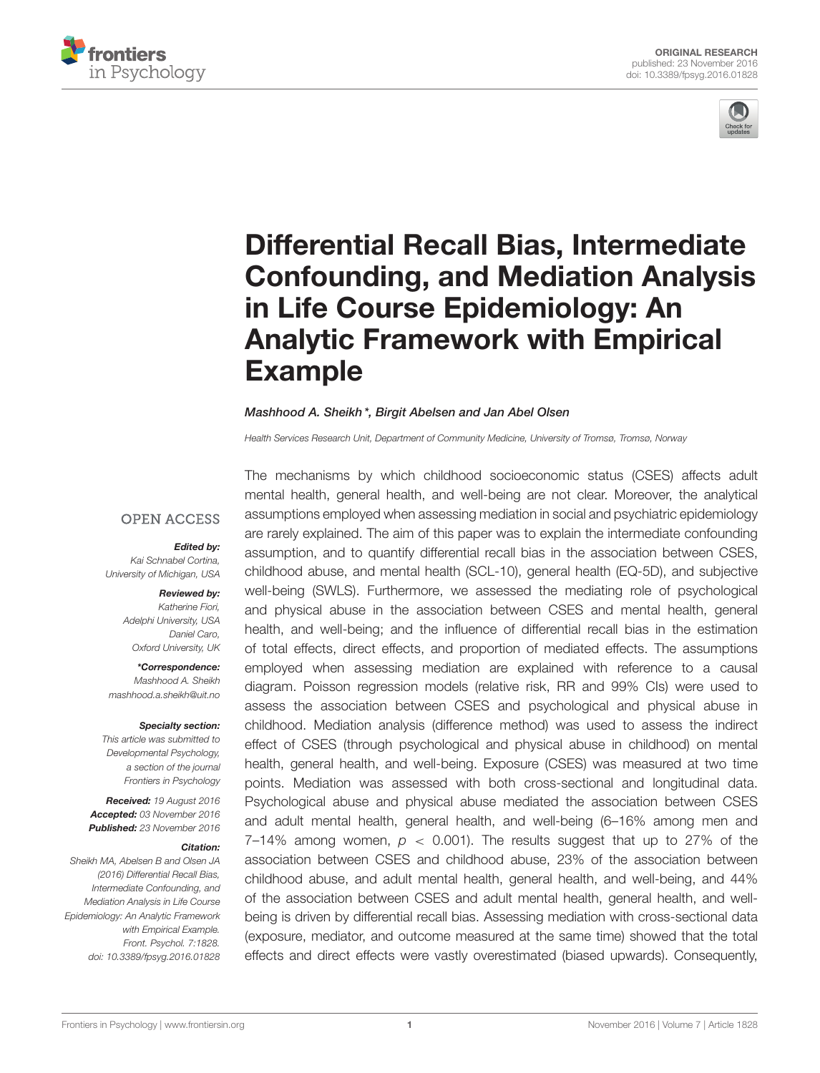



# Differential Recall Bias, Intermediate [Confounding, and Mediation Analysis](http://journal.frontiersin.org/article/10.3389/fpsyg.2016.01828/abstract) in Life Course Epidemiology: An Analytic Framework with Empirical Example

#### [Mashhood A. Sheikh](http://loop.frontiersin.org/people/287324/overview)\*, [Birgit Abelsen](http://loop.frontiersin.org/people/345843/overview) and Jan Abel Olsen

*Health Services Research Unit, Department of Community Medicine, University of Tromsø, Tromsø, Norway*

#### **OPEN ACCESS**

#### Edited by:

*Kai Schnabel Cortina, University of Michigan, USA*

#### Reviewed by:

*Katherine Fiori, Adelphi University, USA Daniel Caro, Oxford University, UK*

\*Correspondence: *Mashhood A. Sheikh [mashhood.a.sheikh@uit.no](mailto:mashhood.a.sheikh@uit.no)*

#### Specialty section:

*This article was submitted to Developmental Psychology, a section of the journal Frontiers in Psychology*

Received: *19 August 2016* Accepted: *03 November 2016* Published: *23 November 2016*

#### Citation:

*Sheikh MA, Abelsen B and Olsen JA (2016) Differential Recall Bias, Intermediate Confounding, and Mediation Analysis in Life Course Epidemiology: An Analytic Framework with Empirical Example. Front. Psychol. 7:1828. doi: [10.3389/fpsyg.2016.01828](https://doi.org/10.3389/fpsyg.2016.01828)*

The mechanisms by which childhood socioeconomic status (CSES) affects adult mental health, general health, and well-being are not clear. Moreover, the analytical assumptions employed when assessing mediation in social and psychiatric epidemiology are rarely explained. The aim of this paper was to explain the intermediate confounding assumption, and to quantify differential recall bias in the association between CSES, childhood abuse, and mental health (SCL-10), general health (EQ-5D), and subjective well-being (SWLS). Furthermore, we assessed the mediating role of psychological and physical abuse in the association between CSES and mental health, general health, and well-being; and the influence of differential recall bias in the estimation of total effects, direct effects, and proportion of mediated effects. The assumptions employed when assessing mediation are explained with reference to a causal diagram. Poisson regression models (relative risk, RR and 99% CIs) were used to assess the association between CSES and psychological and physical abuse in childhood. Mediation analysis (difference method) was used to assess the indirect effect of CSES (through psychological and physical abuse in childhood) on mental health, general health, and well-being. Exposure (CSES) was measured at two time points. Mediation was assessed with both cross-sectional and longitudinal data. Psychological abuse and physical abuse mediated the association between CSES and adult mental health, general health, and well-being (6–16% among men and 7–14% among women,  $p \le 0.001$ ). The results suggest that up to 27% of the association between CSES and childhood abuse, 23% of the association between childhood abuse, and adult mental health, general health, and well-being, and 44% of the association between CSES and adult mental health, general health, and wellbeing is driven by differential recall bias. Assessing mediation with cross-sectional data (exposure, mediator, and outcome measured at the same time) showed that the total effects and direct effects were vastly overestimated (biased upwards). Consequently,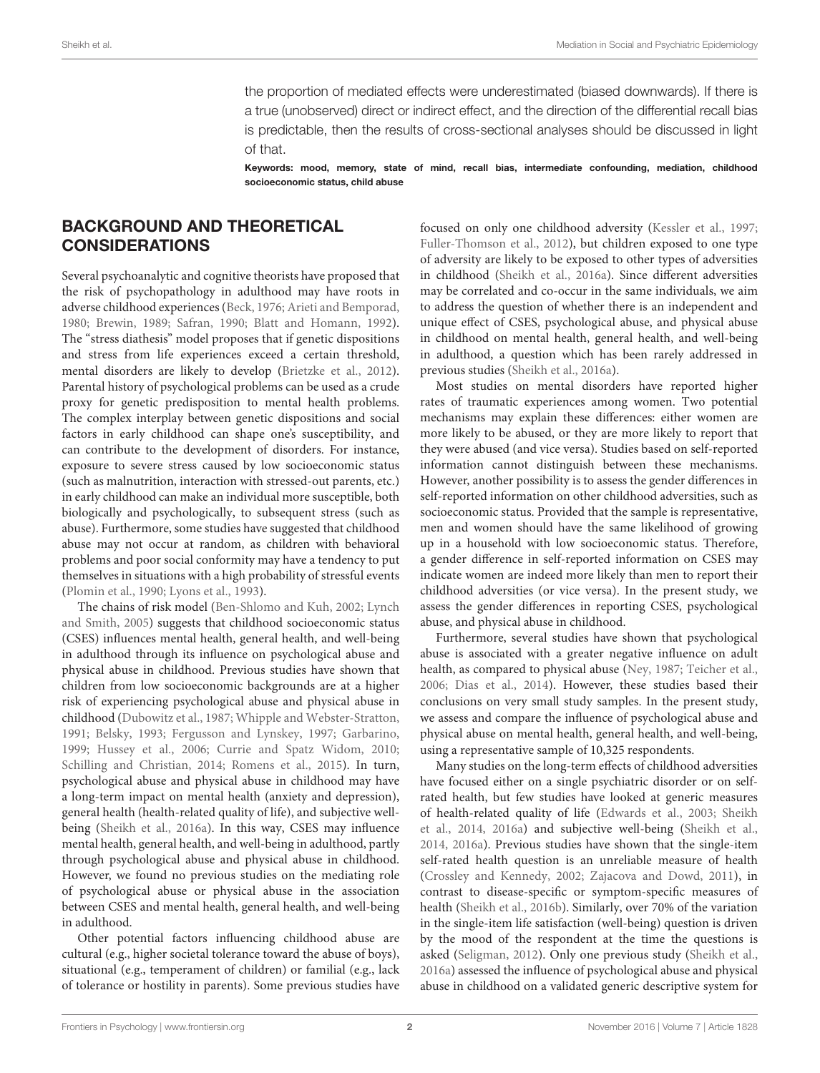the proportion of mediated effects were underestimated (biased downwards). If there is a true (unobserved) direct or indirect effect, and the direction of the differential recall bias is predictable, then the results of cross-sectional analyses should be discussed in light of that.

Keywords: mood, memory, state of mind, recall bias, intermediate confounding, mediation, childhood socioeconomic status, child abuse

### BACKGROUND AND THEORETICAL CONSIDERATIONS

Several psychoanalytic and cognitive theorists have proposed that the risk of psychopathology in adulthood may have roots in adverse childhood experiences [\(Beck, 1976;](#page-14-0) [Arieti and Bemporad,](#page-14-1) [1980;](#page-14-1) [Brewin, 1989;](#page-14-2) [Safran, 1990;](#page-15-0) [Blatt and Homann, 1992\)](#page-14-3). The "stress diathesis" model proposes that if genetic dispositions and stress from life experiences exceed a certain threshold, mental disorders are likely to develop [\(Brietzke et al., 2012\)](#page-14-4). Parental history of psychological problems can be used as a crude proxy for genetic predisposition to mental health problems. The complex interplay between genetic dispositions and social factors in early childhood can shape one's susceptibility, and can contribute to the development of disorders. For instance, exposure to severe stress caused by low socioeconomic status (such as malnutrition, interaction with stressed-out parents, etc.) in early childhood can make an individual more susceptible, both biologically and psychologically, to subsequent stress (such as abuse). Furthermore, some studies have suggested that childhood abuse may not occur at random, as children with behavioral problems and poor social conformity may have a tendency to put themselves in situations with a high probability of stressful events [\(Plomin et al., 1990;](#page-15-1) [Lyons et al., 1993\)](#page-15-2).

The chains of risk model [\(Ben-Shlomo and Kuh, 2002;](#page-14-5) Lynch and Smith, [2005\)](#page-15-3) suggests that childhood socioeconomic status (CSES) influences mental health, general health, and well-being in adulthood through its influence on psychological abuse and physical abuse in childhood. Previous studies have shown that children from low socioeconomic backgrounds are at a higher risk of experiencing psychological abuse and physical abuse in childhood [\(Dubowitz et al., 1987;](#page-14-6) [Whipple and Webster-Stratton,](#page-15-4) [1991;](#page-15-4) [Belsky, 1993;](#page-14-7) [Fergusson and Lynskey, 1997;](#page-14-8) [Garbarino,](#page-14-9) [1999;](#page-14-9) [Hussey et al., 2006;](#page-15-5) [Currie and Spatz Widom, 2010;](#page-14-10) [Schilling and Christian, 2014;](#page-15-6) [Romens et al., 2015\)](#page-15-7). In turn, psychological abuse and physical abuse in childhood may have a long-term impact on mental health (anxiety and depression), general health (health-related quality of life), and subjective wellbeing [\(Sheikh et al., 2016a\)](#page-15-8). In this way, CSES may influence mental health, general health, and well-being in adulthood, partly through psychological abuse and physical abuse in childhood. However, we found no previous studies on the mediating role of psychological abuse or physical abuse in the association between CSES and mental health, general health, and well-being in adulthood.

Other potential factors influencing childhood abuse are cultural (e.g., higher societal tolerance toward the abuse of boys), situational (e.g., temperament of children) or familial (e.g., lack of tolerance or hostility in parents). Some previous studies have focused on only one childhood adversity [\(Kessler et al., 1997;](#page-15-9) [Fuller-Thomson et al., 2012\)](#page-14-11), but children exposed to one type of adversity are likely to be exposed to other types of adversities in childhood [\(Sheikh et al., 2016a\)](#page-15-8). Since different adversities may be correlated and co-occur in the same individuals, we aim to address the question of whether there is an independent and unique effect of CSES, psychological abuse, and physical abuse in childhood on mental health, general health, and well-being in adulthood, a question which has been rarely addressed in previous studies [\(Sheikh et al., 2016a\)](#page-15-8).

Most studies on mental disorders have reported higher rates of traumatic experiences among women. Two potential mechanisms may explain these differences: either women are more likely to be abused, or they are more likely to report that they were abused (and vice versa). Studies based on self-reported information cannot distinguish between these mechanisms. However, another possibility is to assess the gender differences in self-reported information on other childhood adversities, such as socioeconomic status. Provided that the sample is representative, men and women should have the same likelihood of growing up in a household with low socioeconomic status. Therefore, a gender difference in self-reported information on CSES may indicate women are indeed more likely than men to report their childhood adversities (or vice versa). In the present study, we assess the gender differences in reporting CSES, psychological abuse, and physical abuse in childhood.

Furthermore, several studies have shown that psychological abuse is associated with a greater negative influence on adult health, as compared to physical abuse [\(Ney, 1987;](#page-15-10) [Teicher et al.,](#page-15-11) [2006;](#page-15-11) [Dias et al., 2014\)](#page-14-12). However, these studies based their conclusions on very small study samples. In the present study, we assess and compare the influence of psychological abuse and physical abuse on mental health, general health, and well-being, using a representative sample of 10,325 respondents.

Many studies on the long-term effects of childhood adversities have focused either on a single psychiatric disorder or on selfrated health, but few studies have looked at generic measures of health-related quality of life [\(Edwards et al., 2003;](#page-14-13) Sheikh et al., [2014,](#page-15-12) [2016a\)](#page-15-8) and subjective well-being [\(Sheikh et al.,](#page-15-12) [2014,](#page-15-12) [2016a\)](#page-15-8). Previous studies have shown that the single-item self-rated health question is an unreliable measure of health [\(Crossley and Kennedy, 2002;](#page-14-14) [Zajacova and Dowd, 2011\)](#page-15-13), in contrast to disease-specific or symptom-specific measures of health [\(Sheikh et al., 2016b\)](#page-15-14). Similarly, over 70% of the variation in the single-item life satisfaction (well-being) question is driven by the mood of the respondent at the time the questions is asked [\(Seligman, 2012\)](#page-15-15). Only one previous study [\(Sheikh et al.,](#page-15-8) [2016a\)](#page-15-8) assessed the influence of psychological abuse and physical abuse in childhood on a validated generic descriptive system for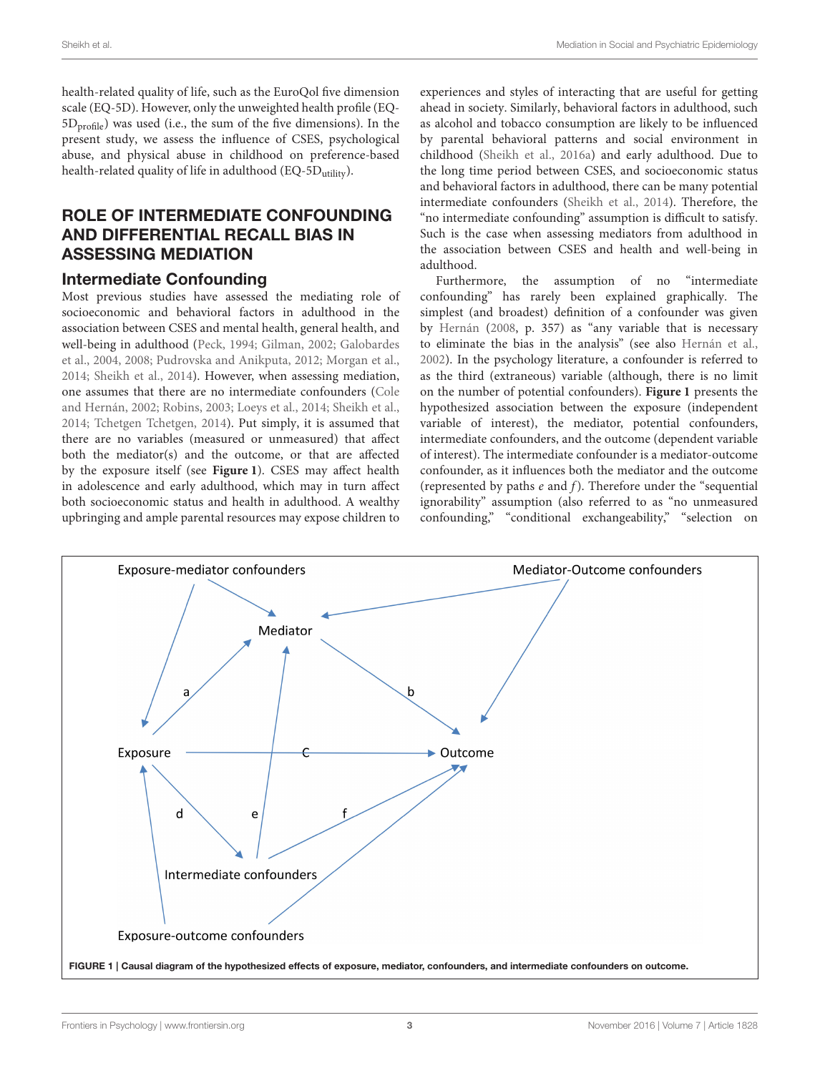health-related quality of life, such as the EuroQol five dimension scale (EQ-5D). However, only the unweighted health profile (EQ- $5D<sub>profile</sub>$ ) was used (i.e., the sum of the five dimensions). In the present study, we assess the influence of CSES, psychological abuse, and physical abuse in childhood on preference-based health-related quality of life in adulthood (EQ-5D<sub>utility</sub>).

## ROLE OF INTERMEDIATE CONFOUNDING AND DIFFERENTIAL RECALL BIAS IN ASSESSING MEDIATION

#### Intermediate Confounding

Most previous studies have assessed the mediating role of socioeconomic and behavioral factors in adulthood in the association between CSES and mental health, general health, and well-being in adulthood [\(Peck, 1994;](#page-15-16) [Gilman, 2002;](#page-14-15) Galobardes et al., [2004,](#page-14-16) [2008;](#page-14-17) [Pudrovska and Anikputa, 2012;](#page-15-17) [Morgan et al.,](#page-15-18) [2014;](#page-15-18) [Sheikh et al., 2014\)](#page-15-12). However, when assessing mediation, one assumes that there are no intermediate confounders (Cole and Hernán, [2002;](#page-14-18) [Robins, 2003;](#page-15-19) [Loeys et al., 2014;](#page-15-20) [Sheikh et al.,](#page-15-12) [2014;](#page-15-12) [Tchetgen Tchetgen, 2014\)](#page-15-21). Put simply, it is assumed that there are no variables (measured or unmeasured) that affect both the mediator(s) and the outcome, or that are affected by the exposure itself (see **[Figure 1](#page-2-0)**). CSES may affect health in adolescence and early adulthood, which may in turn affect both socioeconomic status and health in adulthood. A wealthy upbringing and ample parental resources may expose children to experiences and styles of interacting that are useful for getting ahead in society. Similarly, behavioral factors in adulthood, such as alcohol and tobacco consumption are likely to be influenced by parental behavioral patterns and social environment in childhood [\(Sheikh et al., 2016a\)](#page-15-8) and early adulthood. Due to the long time period between CSES, and socioeconomic status and behavioral factors in adulthood, there can be many potential intermediate confounders [\(Sheikh et al., 2014\)](#page-15-12). Therefore, the "no intermediate confounding" assumption is difficult to satisfy. Such is the case when assessing mediators from adulthood in the association between CSES and health and well-being in adulthood.

Furthermore, the assumption of no "intermediate confounding" has rarely been explained graphically. The simplest (and broadest) definition of a confounder was given by [Hernán](#page-14-19) [\(2008,](#page-14-19) p. 357) as "any variable that is necessary to eliminate the bias in the analysis" (see also [Hernán et al.,](#page-15-22) [2002\)](#page-15-22). In the psychology literature, a confounder is referred to as the third (extraneous) variable (although, there is no limit on the number of potential confounders). **[Figure 1](#page-2-0)** presents the hypothesized association between the exposure (independent variable of interest), the mediator, potential confounders, intermediate confounders, and the outcome (dependent variable of interest). The intermediate confounder is a mediator-outcome confounder, as it influences both the mediator and the outcome (represented by paths  $e$  and  $f$ ). Therefore under the "sequential ignorability" assumption (also referred to as "no unmeasured confounding," "conditional exchangeability," "selection on

<span id="page-2-0"></span>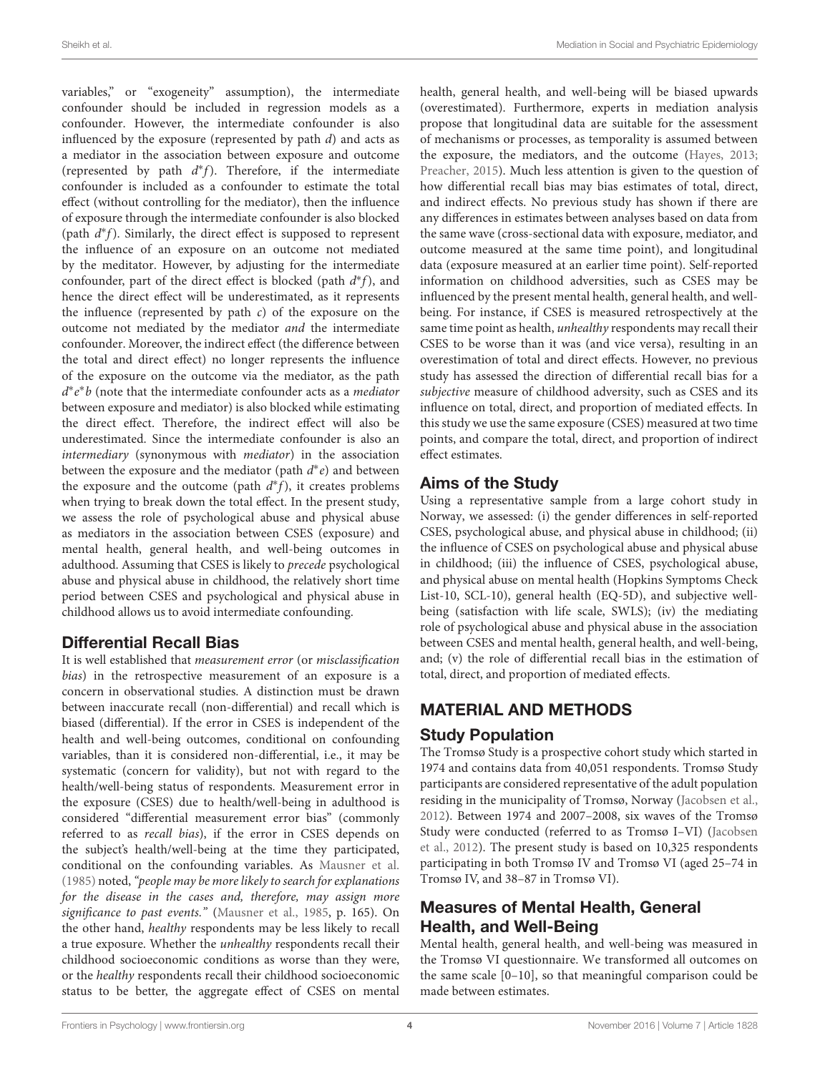variables," or "exogeneity" assumption), the intermediate confounder should be included in regression models as a confounder. However, the intermediate confounder is also influenced by the exposure (represented by path  $d$ ) and acts as a mediator in the association between exposure and outcome (represented by path  $d^*f$ ). Therefore, if the intermediate confounder is included as a confounder to estimate the total effect (without controlling for the mediator), then the influence of exposure through the intermediate confounder is also blocked (path  $d*f$ ). Similarly, the direct effect is supposed to represent the influence of an exposure on an outcome not mediated by the meditator. However, by adjusting for the intermediate confounder, part of the direct effect is blocked (path  $d^*f$ ), and hence the direct effect will be underestimated, as it represents the influence (represented by path  $c$ ) of the exposure on the outcome not mediated by the mediator and the intermediate confounder. Moreover, the indirect effect (the difference between the total and direct effect) no longer represents the influence of the exposure on the outcome via the mediator, as the path  $d^*e^*b$  (note that the intermediate confounder acts as a *mediator* between exposure and mediator) is also blocked while estimating the direct effect. Therefore, the indirect effect will also be underestimated. Since the intermediate confounder is also an intermediary (synonymous with mediator) in the association between the exposure and the mediator (path  $d^*e$ ) and between the exposure and the outcome (path  $d^*f$ ), it creates problems when trying to break down the total effect. In the present study, we assess the role of psychological abuse and physical abuse as mediators in the association between CSES (exposure) and mental health, general health, and well-being outcomes in adulthood. Assuming that CSES is likely to precede psychological abuse and physical abuse in childhood, the relatively short time period between CSES and psychological and physical abuse in childhood allows us to avoid intermediate confounding.

### Differential Recall Bias

It is well established that measurement error (or misclassification bias) in the retrospective measurement of an exposure is a concern in observational studies. A distinction must be drawn between inaccurate recall (non-differential) and recall which is biased (differential). If the error in CSES is independent of the health and well-being outcomes, conditional on confounding variables, than it is considered non-differential, i.e., it may be systematic (concern for validity), but not with regard to the health/well-being status of respondents. Measurement error in the exposure (CSES) due to health/well-being in adulthood is considered "differential measurement error bias" (commonly referred to as recall bias), if the error in CSES depends on the subject's health/well-being at the time they participated, conditional on the confounding variables. As [Mausner et al.](#page-15-23) [\(1985\)](#page-15-23) noted,"people may be more likely to search for explanations for the disease in the cases and, therefore, may assign more significance to past events." [\(Mausner et al., 1985,](#page-15-23) p. 165). On the other hand, healthy respondents may be less likely to recall a true exposure. Whether the unhealthy respondents recall their childhood socioeconomic conditions as worse than they were, or the healthy respondents recall their childhood socioeconomic status to be better, the aggregate effect of CSES on mental health, general health, and well-being will be biased upwards (overestimated). Furthermore, experts in mediation analysis propose that longitudinal data are suitable for the assessment of mechanisms or processes, as temporality is assumed between the exposure, the mediators, and the outcome [\(Hayes, 2013;](#page-14-20) [Preacher, 2015\)](#page-15-24). Much less attention is given to the question of how differential recall bias may bias estimates of total, direct, and indirect effects. No previous study has shown if there are any differences in estimates between analyses based on data from the same wave (cross-sectional data with exposure, mediator, and outcome measured at the same time point), and longitudinal data (exposure measured at an earlier time point). Self-reported information on childhood adversities, such as CSES may be influenced by the present mental health, general health, and wellbeing. For instance, if CSES is measured retrospectively at the same time point as health, unhealthy respondents may recall their CSES to be worse than it was (and vice versa), resulting in an overestimation of total and direct effects. However, no previous study has assessed the direction of differential recall bias for a subjective measure of childhood adversity, such as CSES and its influence on total, direct, and proportion of mediated effects. In this study we use the same exposure (CSES) measured at two time points, and compare the total, direct, and proportion of indirect effect estimates.

### Aims of the Study

Using a representative sample from a large cohort study in Norway, we assessed: (i) the gender differences in self-reported CSES, psychological abuse, and physical abuse in childhood; (ii) the influence of CSES on psychological abuse and physical abuse in childhood; (iii) the influence of CSES, psychological abuse, and physical abuse on mental health (Hopkins Symptoms Check List-10, SCL-10), general health (EQ-5D), and subjective wellbeing (satisfaction with life scale, SWLS); (iv) the mediating role of psychological abuse and physical abuse in the association between CSES and mental health, general health, and well-being, and; (v) the role of differential recall bias in the estimation of total, direct, and proportion of mediated effects.

# MATERIAL AND METHODS

### Study Population

The Tromsø Study is a prospective cohort study which started in 1974 and contains data from 40,051 respondents. Tromsø Study participants are considered representative of the adult population residing in the municipality of Tromsø, Norway [\(Jacobsen et al.,](#page-15-25) [2012\)](#page-15-25). Between 1974 and 2007–2008, six waves of the Tromsø Study were conducted (referred to as Tromsø I–VI) (Jacobsen et al., [2012\)](#page-15-25). The present study is based on 10,325 respondents participating in both Tromsø IV and Tromsø VI (aged 25–74 in Tromsø IV, and 38–87 in Tromsø VI).

# Measures of Mental Health, General Health, and Well-Being

Mental health, general health, and well-being was measured in the Tromsø VI questionnaire. We transformed all outcomes on the same scale [0–10], so that meaningful comparison could be made between estimates.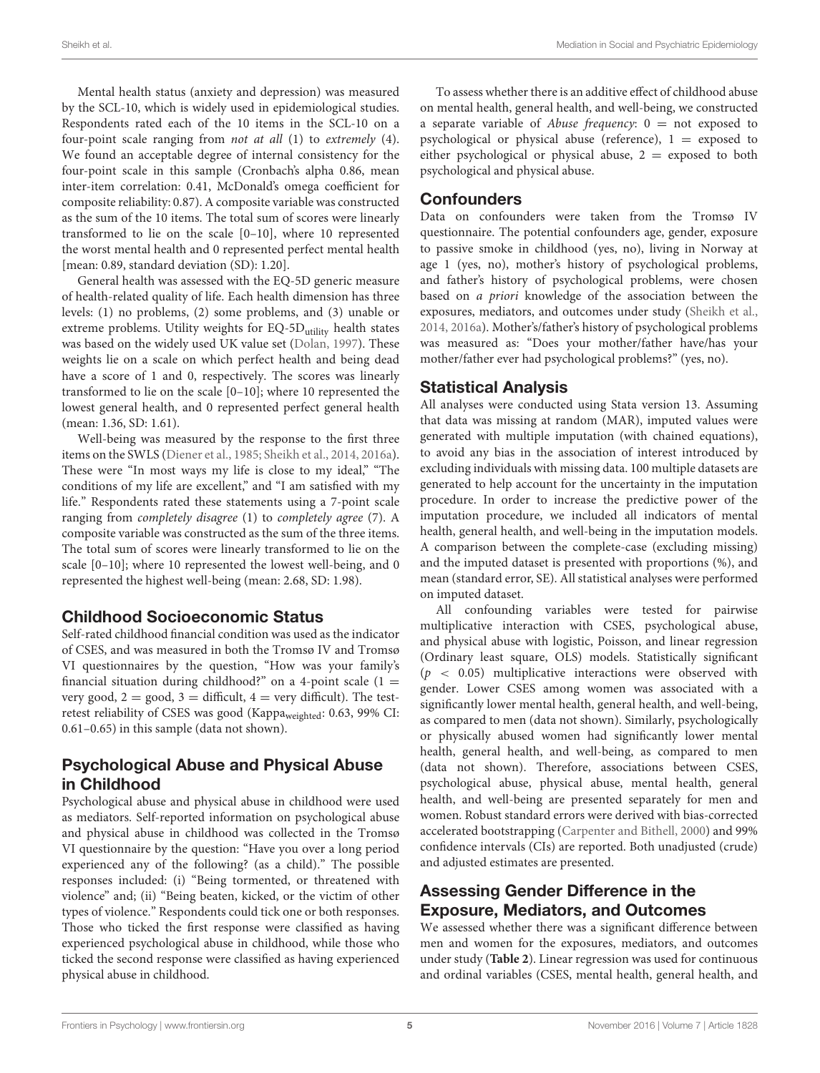Mental health status (anxiety and depression) was measured by the SCL-10, which is widely used in epidemiological studies. Respondents rated each of the 10 items in the SCL-10 on a four-point scale ranging from not at all (1) to extremely (4). We found an acceptable degree of internal consistency for the four-point scale in this sample (Cronbach's alpha 0.86, mean inter-item correlation: 0.41, McDonald's omega coefficient for composite reliability: 0.87). A composite variable was constructed as the sum of the 10 items. The total sum of scores were linearly transformed to lie on the scale [0–10], where 10 represented the worst mental health and 0 represented perfect mental health [mean: 0.89, standard deviation (SD): 1.20].

General health was assessed with the EQ-5D generic measure of health-related quality of life. Each health dimension has three levels: (1) no problems, (2) some problems, and (3) unable or extreme problems. Utility weights for EQ-5D<sub>utility</sub> health states was based on the widely used UK value set [\(Dolan, 1997\)](#page-14-21). These weights lie on a scale on which perfect health and being dead have a score of 1 and 0, respectively. The scores was linearly transformed to lie on the scale [0–10]; where 10 represented the lowest general health, and 0 represented perfect general health (mean: 1.36, SD: 1.61).

Well-being was measured by the response to the first three items on the SWLS [\(Diener et al., 1985;](#page-14-22) [Sheikh et al., 2014,](#page-15-12) [2016a\)](#page-15-8). These were "In most ways my life is close to my ideal," "The conditions of my life are excellent," and "I am satisfied with my life." Respondents rated these statements using a 7-point scale ranging from completely disagree (1) to completely agree (7). A composite variable was constructed as the sum of the three items. The total sum of scores were linearly transformed to lie on the scale [0–10]; where 10 represented the lowest well-being, and 0 represented the highest well-being (mean: 2.68, SD: 1.98).

### Childhood Socioeconomic Status

Self-rated childhood financial condition was used as the indicator of CSES, and was measured in both the Tromsø IV and Tromsø VI questionnaires by the question, "How was your family's financial situation during childhood?" on a 4-point scale  $(1 =$ very good,  $2 = \text{good}$ ,  $3 = \text{difficult}$ ,  $4 = \text{very difficult}$ ). The testretest reliability of CSES was good (Kappaweighted: 0.63, 99% CI: 0.61–0.65) in this sample (data not shown).

### Psychological Abuse and Physical Abuse in Childhood

Psychological abuse and physical abuse in childhood were used as mediators. Self-reported information on psychological abuse and physical abuse in childhood was collected in the Tromsø VI questionnaire by the question: "Have you over a long period experienced any of the following? (as a child)." The possible responses included: (i) "Being tormented, or threatened with violence" and; (ii) "Being beaten, kicked, or the victim of other types of violence." Respondents could tick one or both responses. Those who ticked the first response were classified as having experienced psychological abuse in childhood, while those who ticked the second response were classified as having experienced physical abuse in childhood.

To assess whether there is an additive effect of childhood abuse on mental health, general health, and well-being, we constructed a separate variable of *Abuse frequency*:  $0 =$  not exposed to psychological or physical abuse (reference),  $1 =$  exposed to either psychological or physical abuse,  $2 =$  exposed to both psychological and physical abuse.

### **Confounders**

Data on confounders were taken from the Tromsø IV questionnaire. The potential confounders age, gender, exposure to passive smoke in childhood (yes, no), living in Norway at age 1 (yes, no), mother's history of psychological problems, and father's history of psychological problems, were chosen based on a priori knowledge of the association between the exposures, mediators, and outcomes under study [\(Sheikh et al.,](#page-15-12) [2014,](#page-15-12) [2016a\)](#page-15-8). Mother's/father's history of psychological problems was measured as: "Does your mother/father have/has your mother/father ever had psychological problems?" (yes, no).

### Statistical Analysis

All analyses were conducted using Stata version 13. Assuming that data was missing at random (MAR), imputed values were generated with multiple imputation (with chained equations), to avoid any bias in the association of interest introduced by excluding individuals with missing data. 100 multiple datasets are generated to help account for the uncertainty in the imputation procedure. In order to increase the predictive power of the imputation procedure, we included all indicators of mental health, general health, and well-being in the imputation models. A comparison between the complete-case (excluding missing) and the imputed dataset is presented with proportions (%), and mean (standard error, SE). All statistical analyses were performed on imputed dataset.

All confounding variables were tested for pairwise multiplicative interaction with CSES, psychological abuse, and physical abuse with logistic, Poisson, and linear regression (Ordinary least square, OLS) models. Statistically significant  $(p < 0.05)$  multiplicative interactions were observed with gender. Lower CSES among women was associated with a significantly lower mental health, general health, and well-being, as compared to men (data not shown). Similarly, psychologically or physically abused women had significantly lower mental health, general health, and well-being, as compared to men (data not shown). Therefore, associations between CSES, psychological abuse, physical abuse, mental health, general health, and well-being are presented separately for men and women. Robust standard errors were derived with bias-corrected accelerated bootstrapping [\(Carpenter and Bithell, 2000\)](#page-14-23) and 99% confidence intervals (CIs) are reported. Both unadjusted (crude) and adjusted estimates are presented.

### Assessing Gender Difference in the Exposure, Mediators, and Outcomes

We assessed whether there was a significant difference between men and women for the exposures, mediators, and outcomes under study (**[Table 2](#page-7-0)**). Linear regression was used for continuous and ordinal variables (CSES, mental health, general health, and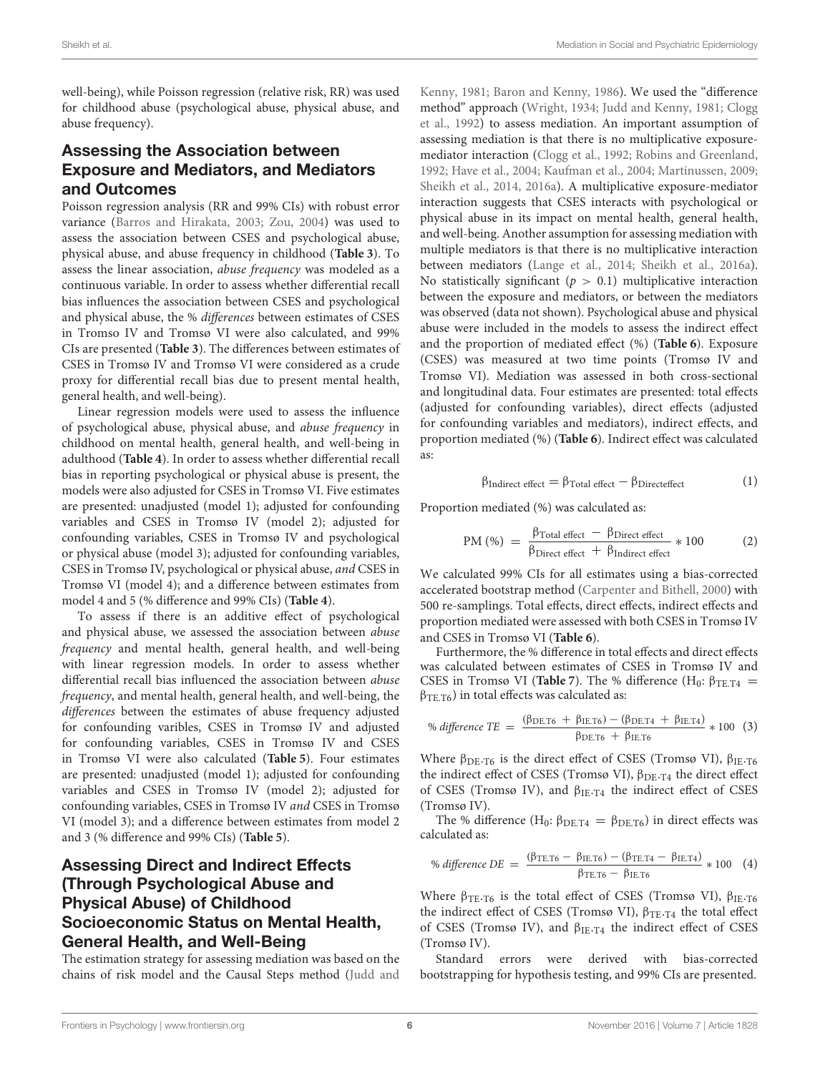well-being), while Poisson regression (relative risk, RR) was used for childhood abuse (psychological abuse, physical abuse, and abuse frequency).

#### Assessing the Association between Exposure and Mediators, and Mediators and Outcomes

Poisson regression analysis (RR and 99% CIs) with robust error variance [\(Barros and Hirakata, 2003;](#page-14-24) [Zou, 2004\)](#page-15-26) was used to assess the association between CSES and psychological abuse, physical abuse, and abuse frequency in childhood (**[Table 3](#page-8-0)**). To assess the linear association, abuse frequency was modeled as a continuous variable. In order to assess whether differential recall bias influences the association between CSES and psychological and physical abuse, the % differences between estimates of CSES in Tromso IV and Tromsø VI were also calculated, and 99% CIs are presented (**[Table 3](#page-8-0)**). The differences between estimates of CSES in Tromsø IV and Tromsø VI were considered as a crude proxy for differential recall bias due to present mental health, general health, and well-being).

Linear regression models were used to assess the influence of psychological abuse, physical abuse, and abuse frequency in childhood on mental health, general health, and well-being in adulthood (**[Table 4](#page-9-0)**). In order to assess whether differential recall bias in reporting psychological or physical abuse is present, the models were also adjusted for CSES in Tromsø VI. Five estimates are presented: unadjusted (model 1); adjusted for confounding variables and CSES in Tromsø IV (model 2); adjusted for confounding variables, CSES in Tromsø IV and psychological or physical abuse (model 3); adjusted for confounding variables, CSES in Tromsø IV, psychological or physical abuse, and CSES in Tromsø VI (model 4); and a difference between estimates from model 4 and 5 (% difference and 99% CIs) (**[Table 4](#page-9-0)**).

To assess if there is an additive effect of psychological and physical abuse, we assessed the association between abuse frequency and mental health, general health, and well-being with linear regression models. In order to assess whether differential recall bias influenced the association between abuse frequency, and mental health, general health, and well-being, the differences between the estimates of abuse frequency adjusted for confounding varibles, CSES in Tromsø IV and adjusted for confounding variables, CSES in Tromsø IV and CSES in Tromsø VI were also calculated (**[Table 5](#page-10-0)**). Four estimates are presented: unadjusted (model 1); adjusted for confounding variables and CSES in Tromsø IV (model 2); adjusted for confounding variables, CSES in Tromsø IV and CSES in Tromsø VI (model 3); and a difference between estimates from model 2 and 3 (% difference and 99% CIs) (**[Table 5](#page-10-0)**).

### Assessing Direct and Indirect Effects (Through Psychological Abuse and Physical Abuse) of Childhood Socioeconomic Status on Mental Health, General Health, and Well-Being

The estimation strategy for assessing mediation was based on the chains of risk model and the Causal Steps method (Judd and Kenny, [1981;](#page-15-27) [Baron and Kenny, 1986\)](#page-14-25). We used the "difference method" approach [\(Wright, 1934;](#page-15-28) [Judd and Kenny, 1981;](#page-15-27) Clogg et al., [1992\)](#page-14-26) to assess mediation. An important assumption of assessing mediation is that there is no multiplicative exposuremediator interaction [\(Clogg et al., 1992;](#page-14-26) [Robins and Greenland,](#page-15-29) [1992;](#page-15-29) [Have et al., 2004;](#page-14-27) [Kaufman et al., 2004;](#page-15-30) [Martinussen, 2009;](#page-15-31) [Sheikh et al., 2014,](#page-15-12) [2016a\)](#page-15-8). A multiplicative exposure-mediator interaction suggests that CSES interacts with psychological or physical abuse in its impact on mental health, general health, and well-being. Another assumption for assessing mediation with multiple mediators is that there is no multiplicative interaction between mediators [\(Lange et al., 2014;](#page-15-32) [Sheikh et al., 2016a\)](#page-15-8). No statistically significant ( $p > 0.1$ ) multiplicative interaction between the exposure and mediators, or between the mediators was observed (data not shown). Psychological abuse and physical abuse were included in the models to assess the indirect effect and the proportion of mediated effect (%) (**[Table 6](#page-11-0)**). Exposure (CSES) was measured at two time points (Tromsø IV and Tromsø VI). Mediation was assessed in both cross-sectional and longitudinal data. Four estimates are presented: total effects (adjusted for confounding variables), direct effects (adjusted for confounding variables and mediators), indirect effects, and proportion mediated (%) (**[Table 6](#page-11-0)**). Indirect effect was calculated as:

$$
\beta_{Indirect\ effect} = \beta_{Total\ effect} - \beta_{Direct\ effect} \qquad (1)
$$

Proportion mediated (%) was calculated as:

$$
PM (%) = \frac{\beta_{\text{Total effect}} - \beta_{\text{Direct effect}}}{\beta_{\text{Direct effect}} + \beta_{\text{Indirect effect}}} * 100
$$
 (2)

We calculated 99% CIs for all estimates using a bias-corrected accelerated bootstrap method [\(Carpenter and Bithell, 2000\)](#page-14-23) with 500 re-samplings. Total effects, direct effects, indirect effects and proportion mediated were assessed with both CSES in Tromsø IV and CSES in Tromsø VI (**[Table 6](#page-11-0)**).

Furthermore, the % difference in total effects and direct effects was calculated between estimates of CSES in Tromsø IV and CSES in Tromsø VI (**[Table 7](#page-12-0)**). The % difference (H<sub>0</sub>:  $\beta_{\text{TE,T4}}$  =  $\beta_{\text{TE.T6}}$ ) in total effects was calculated as:

% difference TE = 
$$
\frac{(\beta_{\text{DE.T6}} + \beta_{\text{IE.T6}}) - (\beta_{\text{DE.T4}} + \beta_{\text{IE.T4}})}{\beta_{\text{DE.T6}} + \beta_{\text{IE.T6}}} * 100
$$
 (3)

Where  $\beta_{DE}$ . T<sub>6</sub> is the direct effect of CSES (Tromsø VI),  $\beta_{IE}$ . T<sub>6</sub> the indirect effect of CSES (Tromsø VI),  $β_{DE}$ .<sub>T4</sub> the direct effect of CSES (Tromsø IV), and  $\beta_{\text{IE-T4}}$  the indirect effect of CSES (Tromsø IV).

The % difference  $(H_0: \beta_{\text{DE,T4}} = \beta_{\text{DE,T6}})$  in direct effects was calculated as:

$$
\% difference DE = \frac{(\beta_{\text{TE.T6}} - \beta_{\text{IE.T6}}) - (\beta_{\text{TE.T4}} - \beta_{\text{IE.T4}})}{\beta_{\text{TE.T6}} - \beta_{\text{IE.T6}}} * 100 \quad (4)
$$

Where  $\beta_{\text{TE-T6}}$  is the total effect of CSES (Tromsø VI),  $\beta_{\text{IE-T6}}$ the indirect effect of CSES (Tromsø VI),  $β$ <sub>TE</sub>.<sub>T4</sub> the total effect of CSES (Tromsø IV), and  $\beta_{\text{IE-T4}}$  the indirect effect of CSES (Tromsø IV).

Standard errors were derived with bias-corrected bootstrapping for hypothesis testing, and 99% CIs are presented.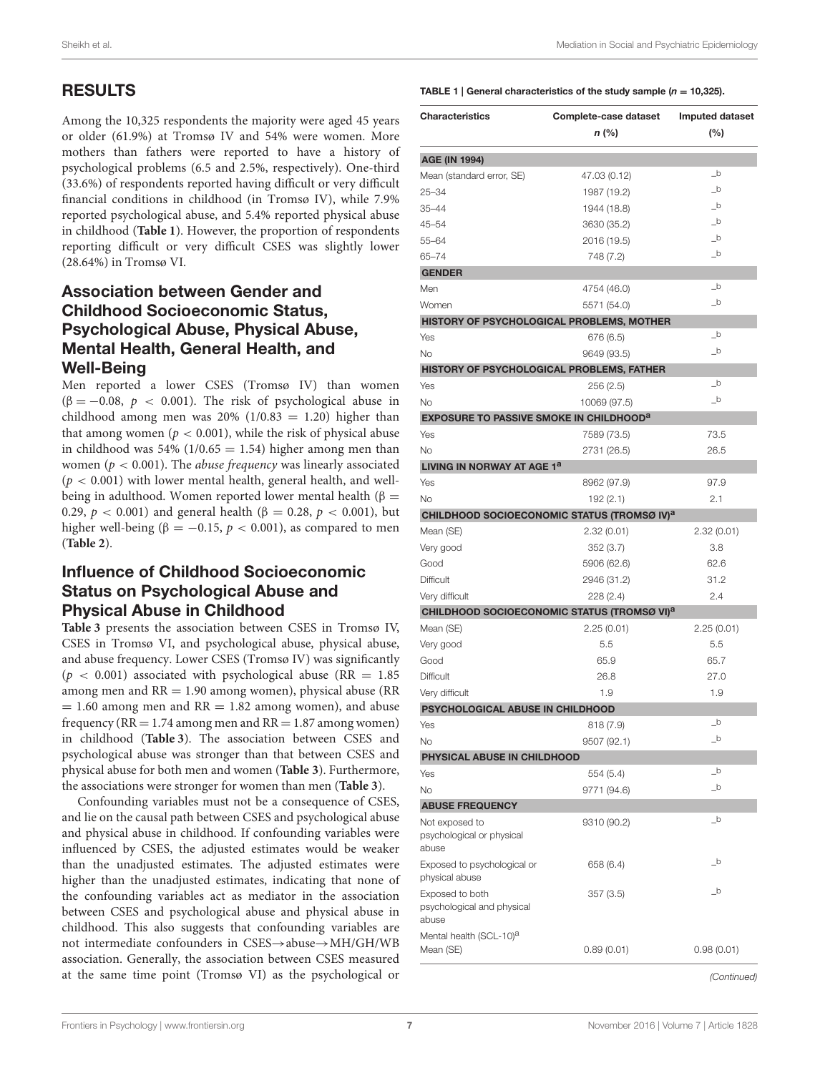# RESULTS

Among the 10,325 respondents the majority were aged 45 years or older (61.9%) at Tromsø IV and 54% were women. More mothers than fathers were reported to have a history of psychological problems (6.5 and 2.5%, respectively). One-third (33.6%) of respondents reported having difficult or very difficult financial conditions in childhood (in Tromsø IV), while 7.9% reported psychological abuse, and 5.4% reported physical abuse in childhood (**[Table 1](#page-6-0)**). However, the proportion of respondents reporting difficult or very difficult CSES was slightly lower (28.64%) in Tromsø VI.

### Association between Gender and Childhood Socioeconomic Status, Psychological Abuse, Physical Abuse, Mental Health, General Health, and Well-Being

Men reported a lower CSES (Tromsø IV) than women ( $\beta = -0.08$ ,  $p < 0.001$ ). The risk of psychological abuse in childhood among men was  $20\%$  (1/0.83 = 1.20) higher than that among women ( $p < 0.001$ ), while the risk of physical abuse in childhood was 54% ( $1/0.65 = 1.54$ ) higher among men than women ( $p < 0.001$ ). The *abuse frequency* was linearly associated  $(p < 0.001)$  with lower mental health, general health, and wellbeing in adulthood. Women reported lower mental health ( $\beta =$ 0.29, *p* < 0.001) and general health (β = 0.28, *p* < 0.001), but higher well-being ( $\beta = -0.15$ ,  $p < 0.001$ ), as compared to men (**[Table 2](#page-7-0)**).

#### Influence of Childhood Socioeconomic Status on Psychological Abuse and Physical Abuse in Childhood

**[Table 3](#page-8-0)** presents the association between CSES in Tromsø IV, CSES in Tromsø VI, and psychological abuse, physical abuse, and abuse frequency. Lower CSES (Tromsø IV) was significantly  $(p < 0.001)$  associated with psychological abuse (RR = 1.85) among men and  $RR = 1.90$  among women), physical abuse ( $RR$ )  $= 1.60$  among men and  $RR = 1.82$  among women), and abuse frequency ( $RR = 1.74$  among men and  $RR = 1.87$  among women) in childhood (**[Table 3](#page-8-0)**). The association between CSES and psychological abuse was stronger than that between CSES and physical abuse for both men and women (**[Table 3](#page-8-0)**). Furthermore, the associations were stronger for women than men (**[Table 3](#page-8-0)**).

Confounding variables must not be a consequence of CSES, and lie on the causal path between CSES and psychological abuse and physical abuse in childhood. If confounding variables were influenced by CSES, the adjusted estimates would be weaker than the unadjusted estimates. The adjusted estimates were higher than the unadjusted estimates, indicating that none of the confounding variables act as mediator in the association between CSES and psychological abuse and physical abuse in childhood. This also suggests that confounding variables are not intermediate confounders in CSES→abuse→MH/GH/WB association. Generally, the association between CSES measured at the same time point (Tromsø VI) as the psychological or

#### <span id="page-6-0"></span>TABLE 1 | General characteristics of the study sample ( $n = 10,325$ ).

| <b>Characteristics</b>                                    | Complete-case dataset                                   | <b>Imputed dataset</b><br>(%)          |  |
|-----------------------------------------------------------|---------------------------------------------------------|----------------------------------------|--|
|                                                           | n (%)                                                   |                                        |  |
|                                                           |                                                         |                                        |  |
| <b>AGE (IN 1994)</b><br>Mean (standard error, SE)         | 47.03 (0.12)                                            | $\_b$                                  |  |
| $25 - 34$                                                 | 1987 (19.2)                                             | $\_b$                                  |  |
| $35 - 44$                                                 | 1944 (18.8)                                             | $\_b$                                  |  |
| $45 - 54$                                                 | 3630 (35.2)                                             | $\_b$                                  |  |
| $55 - 64$                                                 | 2016 (19.5)                                             | $\_b$                                  |  |
| $65 - 74$                                                 |                                                         | $\_b$                                  |  |
| <b>GENDER</b>                                             | 748 (7.2)                                               |                                        |  |
| Men                                                       | 4754 (46.0)                                             | $\_b$                                  |  |
| Women                                                     | 5571 (54.0)                                             | $\overline{\phantom{a}}^{\phantom{a}}$ |  |
|                                                           |                                                         |                                        |  |
|                                                           | HISTORY OF PSYCHOLOGICAL PROBLEMS, MOTHER               | $\_b$                                  |  |
| Yes                                                       | 676 (6.5)                                               | $\overline{\phantom{a}}^{\phantom{a}}$ |  |
| <b>No</b>                                                 | 9649 (93.5)                                             |                                        |  |
| HISTORY OF PSYCHOLOGICAL PROBLEMS, FATHER                 |                                                         |                                        |  |
| Yes                                                       | 256 (2.5)                                               | $\_b$                                  |  |
| No.                                                       | 10069 (97.5)                                            | $\overline{\phantom{a}}^{\phantom{a}}$ |  |
| <b>EXPOSURE TO PASSIVE SMOKE IN CHILDHOOD<sup>a</sup></b> |                                                         |                                        |  |
| Yes                                                       | 7589 (73.5)                                             | 73.5                                   |  |
| <b>No</b>                                                 | 2731 (26.5)                                             | 26.5                                   |  |
| LIVING IN NORWAY AT AGE 1ª                                |                                                         |                                        |  |
| Yes                                                       | 8962 (97.9)                                             | 97.9                                   |  |
| No                                                        | 192 (2.1)                                               | 2.1                                    |  |
|                                                           | CHILDHOOD SOCIOECONOMIC STATUS (TROMSØ IV) <sup>a</sup> |                                        |  |
| Mean (SE)                                                 | 2.32(0.01)                                              | 2.32(0.01)                             |  |
| Very good                                                 | 352 (3.7)                                               | 3.8                                    |  |
| Good                                                      | 5906 (62.6)                                             | 62.6                                   |  |
| <b>Difficult</b>                                          | 2946 (31.2)                                             | 31.2                                   |  |
| Very difficult                                            | 228 (2.4)                                               | 2.4                                    |  |
|                                                           | CHILDHOOD SOCIOECONOMIC STATUS (TROMSØ VI) <sup>a</sup> |                                        |  |
| Mean (SE)                                                 | 2.25(0.01)                                              | 2.25(0.01)                             |  |
| Very good                                                 | 5.5                                                     | 5.5                                    |  |
| Good                                                      | 65.9                                                    | 65.7                                   |  |
| <b>Difficult</b>                                          | 26.8                                                    | 27.0                                   |  |
| Very difficult                                            | 1.9                                                     | 1.9                                    |  |
| PSYCHOLOGICAL ABUSE IN CHILDHOOD                          |                                                         |                                        |  |
| Yes                                                       | 818 (7.9)                                               | $\_b$                                  |  |
| No                                                        | 9507 (92.1)                                             | $\_b$                                  |  |
| PHYSICAL ABUSE IN CHILDHOOD                               |                                                         |                                        |  |
| Yes                                                       | 554 (5.4)                                               | $\_b$                                  |  |
| No                                                        | 9771 (94.6)                                             | $\_b$                                  |  |
| <b>ABUSE FREQUENCY</b>                                    |                                                         |                                        |  |
| Not exposed to                                            | 9310 (90.2)                                             | $\_b$                                  |  |
| psychological or physical<br>abuse                        |                                                         |                                        |  |
| Exposed to psychological or<br>physical abuse             | 658 (6.4)                                               | $\_b$                                  |  |
| Exposed to both<br>psychological and physical<br>abuse    | 357 (3.5)                                               | $\_b$                                  |  |
| Mental health (SCL-10) <sup>a</sup><br>Mean (SE)          | 0.89(0.01)                                              | 0.98(0.01)                             |  |
|                                                           |                                                         | (Continued)                            |  |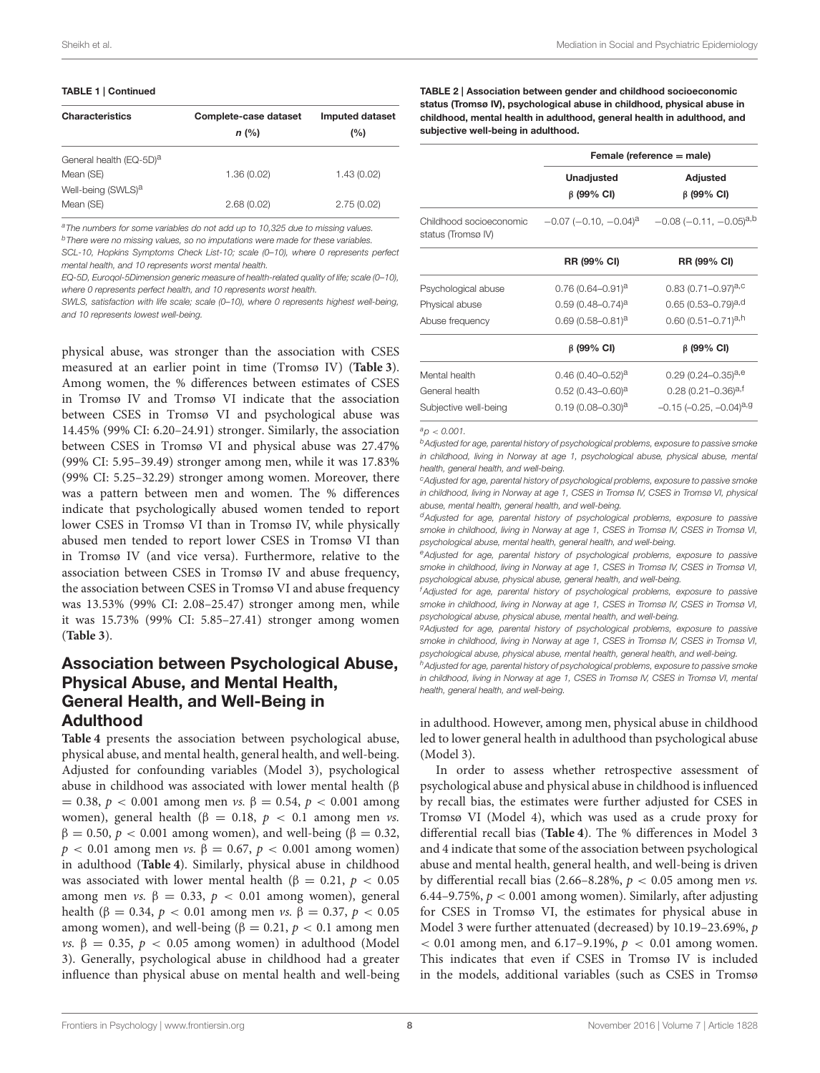#### TABLE 1 | Continued

| <b>Characteristics</b>              | Complete-case dataset<br>$n$ (%) | Imputed dataset<br>(%) |
|-------------------------------------|----------------------------------|------------------------|
| General health (EQ-5D) <sup>a</sup> |                                  |                        |
| Mean (SE)                           | 1.36(0.02)                       | 1.43(0.02)             |
| Well-being (SWLS) <sup>a</sup>      |                                  |                        |
| Mean (SE)                           | 2.68(0.02)                       | 2.75(0.02)             |

*<sup>a</sup>The numbers for some variables do not add up to 10,325 due to missing values.*

*<sup>b</sup>There were no missing values, so no imputations were made for these variables.*

*SCL-10, Hopkins Symptoms Check List-10; scale (0–10), where 0 represents perfect mental health, and 10 represents worst mental health.*

*EQ-5D, Euroqol-5Dimension generic measure of health-related quality of life; scale (0–10), where 0 represents perfect health, and 10 represents worst health.*

*SWLS, satisfaction with life scale; scale (0–10), where 0 represents highest well-being, and 10 represents lowest well-being.*

physical abuse, was stronger than the association with CSES measured at an earlier point in time (Tromsø IV) (**[Table 3](#page-8-0)**). Among women, the % differences between estimates of CSES in Tromsø IV and Tromsø VI indicate that the association between CSES in Tromsø VI and psychological abuse was 14.45% (99% CI: 6.20–24.91) stronger. Similarly, the association between CSES in Tromsø VI and physical abuse was 27.47% (99% CI: 5.95–39.49) stronger among men, while it was 17.83% (99% CI: 5.25–32.29) stronger among women. Moreover, there was a pattern between men and women. The % differences indicate that psychologically abused women tended to report lower CSES in Tromsø VI than in Tromsø IV, while physically abused men tended to report lower CSES in Tromsø VI than in Tromsø IV (and vice versa). Furthermore, relative to the association between CSES in Tromsø IV and abuse frequency, the association between CSES in Tromsø VI and abuse frequency was 13.53% (99% CI: 2.08–25.47) stronger among men, while it was 15.73% (99% CI: 5.85–27.41) stronger among women (**[Table 3](#page-8-0)**).

### Association between Psychological Abuse, Physical Abuse, and Mental Health, General Health, and Well-Being in Adulthood

**[Table 4](#page-9-0)** presents the association between psychological abuse, physical abuse, and mental health, general health, and well-being. Adjusted for confounding variables (Model 3), psychological abuse in childhood was associated with lower mental health (β  $= 0.38, p < 0.001$  among men *vs*. β = 0.54, p < 0.001 among women), general health (β = 0.18,  $p$  < 0.1 among men *vs*.  $β = 0.50, p < 0.001$  among women), and well-being (β = 0.32,  $p < 0.01$  among men *vs.* β = 0.67, *p* < 0.001 among women) in adulthood (**[Table 4](#page-9-0)**). Similarly, physical abuse in childhood was associated with lower mental health ( $\beta = 0.21$ ,  $p < 0.05$ ) among men *vs.*  $β = 0.33, p < 0.01$  among women), general health (β = 0.34, *p* < 0.01 among men *vs*. β = 0.37, *p* < 0.05 among women), and well-being (β = 0.21,  $p$  < 0.1 among men vs. β = 0.35, p < 0.05 among women) in adulthood (Model 3). Generally, psychological abuse in childhood had a greater influence than physical abuse on mental health and well-being <span id="page-7-0"></span>TABLE 2 | Association between gender and childhood socioeconomic status (Tromsø IV), psychological abuse in childhood, physical abuse in childhood, mental health in adulthood, general health in adulthood, and subjective well-being in adulthood.

|                                               |                                         | Female (reference = male)                    |  |
|-----------------------------------------------|-----------------------------------------|----------------------------------------------|--|
|                                               | <b>Unadjusted</b><br>$\beta$ (99% CI)   | <b>Adjusted</b><br>$\beta$ (99% CI)          |  |
| Childhood socioeconomic<br>status (Tromsø IV) | $-0.07$ ( $-0.10, -0.04$ ) <sup>a</sup> | $-0.08$ ( $-0.11$ , $-0.05$ ) <sup>a,b</sup> |  |
|                                               | RR (99% CI)                             | RR (99% CI)                                  |  |
| Psychological abuse                           | $0.76(0.64 - 0.91)^a$                   | $0.83(0.71 - 0.97)^{a,c}$                    |  |
| Physical abuse                                | $0.59(0.48 - 0.74)^a$                   | $0.65(0.53 - 0.79)^{a,d}$                    |  |
| Abuse frequency                               | $0.69(0.58 - 0.81)^a$                   | $0.60(0.51 - 0.71)^{a,h}$                    |  |
|                                               | $\beta$ (99% CI)                        | $\beta$ (99% CI)                             |  |
| Mental health                                 | $0.46(0.40 - 0.52)^a$                   | $0.29(0.24 - 0.35)^{a,e}$                    |  |
| General health                                | $0.52(0.43 - 0.60)^a$                   | $0.28(0.21 - 0.36)^{a,t}$                    |  |
| Subjective well-being                         | $0.19(0.08 - 0.30)^a$                   | $-0.15$ ( $-0.25$ , $-0.04$ ) <sup>a,g</sup> |  |

*<sup>a</sup>p* < *0.001.*

*<sup>b</sup>Adjusted for age, parental history of psychological problems, exposure to passive smoke in childhood, living in Norway at age 1, psychological abuse, physical abuse, mental health, general health, and well-being.*

*<sup>c</sup>Adjusted for age, parental history of psychological problems, exposure to passive smoke in childhood, living in Norway at age 1, CSES in Tromsø IV, CSES in Tromsø VI, physical abuse, mental health, general health, and well-being.*

*<sup>d</sup>Adjusted for age, parental history of psychological problems, exposure to passive smoke in childhood, living in Norway at age 1, CSES in Tromsø IV, CSES in Tromsø VI, psychological abuse, mental health, general health, and well-being.*

*<sup>e</sup>Adjusted for age, parental history of psychological problems, exposure to passive smoke in childhood, living in Norway at age 1, CSES in Tromsø IV, CSES in Tromsø VI, psychological abuse, physical abuse, general health, and well-being.*

*<sup>f</sup>Adjusted for age, parental history of psychological problems, exposure to passive smoke in childhood, living in Norway at age 1, CSES in Tromsø IV, CSES in Tromsø VI, psychological abuse, physical abuse, mental health, and well-being.*

*<sup>g</sup>Adjusted for age, parental history of psychological problems, exposure to passive smoke in childhood, living in Norway at age 1, CSES in Tromsø IV, CSES in Tromsø VI, psychological abuse, physical abuse, mental health, general health, and well-being.*

*<sup>h</sup>Adjusted for age, parental history of psychological problems, exposure to passive smoke in childhood, living in Norway at age 1, CSES in Tromsø IV, CSES in Tromsø VI, mental health, general health, and well-being.*

in adulthood. However, among men, physical abuse in childhood led to lower general health in adulthood than psychological abuse (Model 3).

In order to assess whether retrospective assessment of psychological abuse and physical abuse in childhood is influenced by recall bias, the estimates were further adjusted for CSES in Tromsø VI (Model 4), which was used as a crude proxy for differential recall bias (**[Table 4](#page-9-0)**). The % differences in Model 3 and 4 indicate that some of the association between psychological abuse and mental health, general health, and well-being is driven by differential recall bias (2.66–8.28%,  $p < 0.05$  among men *vs*. 6.44–9.75%,  $p < 0.001$  among women). Similarly, after adjusting for CSES in Tromsø VI, the estimates for physical abuse in Model 3 were further attenuated (decreased) by 10.19–23.69%, p  $< 0.01$  among men, and 6.17–9.19%,  $p < 0.01$  among women. This indicates that even if CSES in Tromsø IV is included in the models, additional variables (such as CSES in Tromsø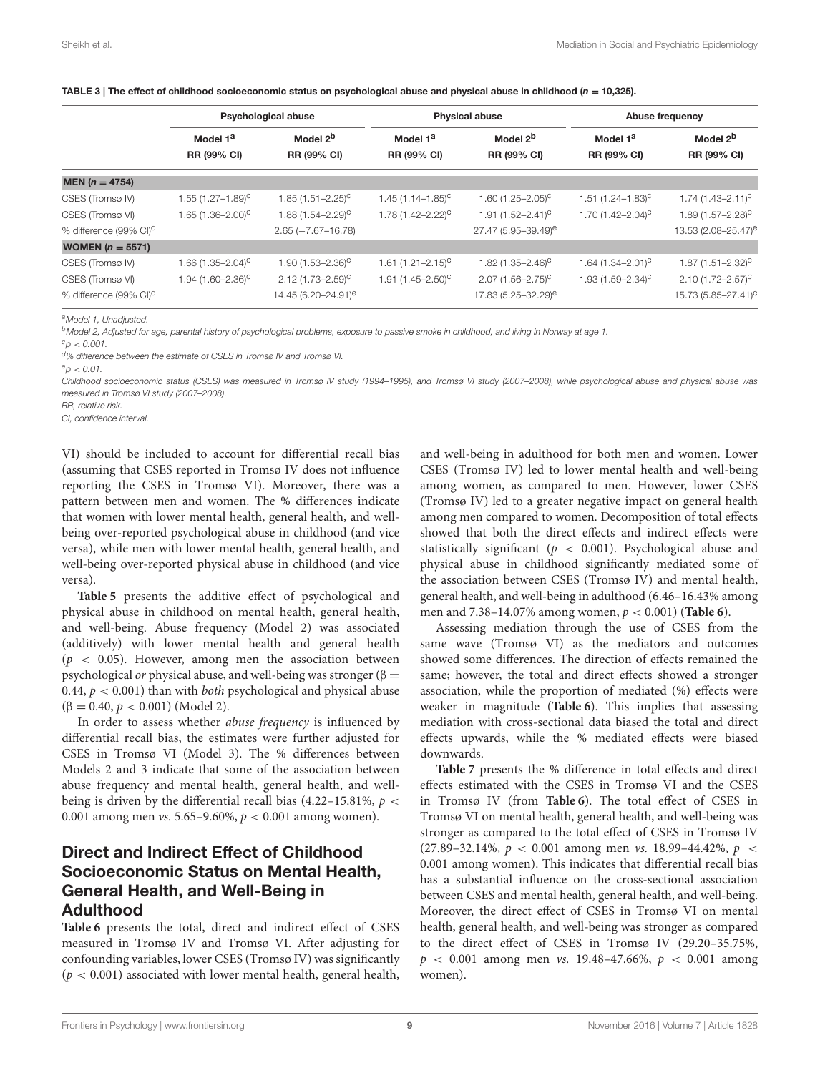|                                    | <b>Psychological abuse</b>        |                                  |                                  | <b>Physical abuse</b>             |                          | Abuse frequency                 |  |
|------------------------------------|-----------------------------------|----------------------------------|----------------------------------|-----------------------------------|--------------------------|---------------------------------|--|
|                                    | Model 1 <sup>a</sup>              | Model 2 <sup>b</sup>             | Model 1 <sup>a</sup>             | Model 2 <sup>b</sup>              | Model 1 <sup>a</sup>     | Model 2 <sup>b</sup>            |  |
|                                    | RR (99% CI)                       | RR (99% CI)                      | RR (99% CI)                      | RR (99% CI)                       | <b>RR (99% CI)</b>       | RR (99% CI)                     |  |
| MEN ( $n = 4754$ )                 |                                   |                                  |                                  |                                   |                          |                                 |  |
| CSES (Tromsø IV)                   | $1.55(1.27 - 1.89)^{c}$           | $1.85(1.51 - 2.25)^{c}$          | $1.45(1.14 - 1.85)^{c}$          | 1.60 $(1.25 - 2.05)^{c}$          | $1.51(1.24 - 1.83)^{c}$  | $1.74(1.43 - 2.11)^{c}$         |  |
| CSES (Tromsø VI)                   | 1.65 $(1.36 - 2.00)^{C}$          | $1.88(1.54 - 2.29)$ <sup>C</sup> | $1.78(1.42 - 2.22)^{c}$          | 1.91 $(1.52 - 2.41)^c$            | 1.70 $(1.42 - 2.04)^{C}$ | $1.89(1.57 - 2.28)^{c}$         |  |
| % difference (99% CI) <sup>d</sup> |                                   | $2.65 (-7.67 - 16.78)$           |                                  | 27.47 (5.95-39.49) <sup>e</sup>   |                          | 13.53 (2.08-25.47) <sup>e</sup> |  |
| <b>WOMEN</b> ( $n = 5571$ )        |                                   |                                  |                                  |                                   |                          |                                 |  |
| CSES (Tromsø IV)                   | 1.66 $(1.35 - 2.04)$ <sup>C</sup> | $1.90(1.53 - 2.36)^{c}$          | $1.61 (1.21 - 2.15)^{c}$         | 1.82 $(1.35 - 2.46)$ <sup>C</sup> | $1.64(1.34 - 2.01)^{c}$  | $1.87(1.51 - 2.32)^{c}$         |  |
| CSES (Tromsø VI)                   | 1.94 $(1.60 - 2.36)^{c}$          | $2.12(1.73 - 2.59)^{\circ}$      | $1.91(1.45 - 2.50)$ <sup>C</sup> | $2.07(1.56 - 2.75)^{c}$           | $1.93(1.59 - 2.34)^{c}$  | $2.10(1.72 - 2.57)^{c}$         |  |
| % difference (99% CI) <sup>d</sup> |                                   | 14.45 (6.20-24.91) <sup>e</sup>  |                                  | 17.83 (5.25-32.29) <sup>e</sup>   |                          | 15.73 (5.85-27.41) <sup>c</sup> |  |

<span id="page-8-0"></span>

| TABLE 3   The effect of childhood socioeconomic status on psychological abuse and physical abuse in childhood ( $n = 10,325$ ). |  |
|---------------------------------------------------------------------------------------------------------------------------------|--|
|---------------------------------------------------------------------------------------------------------------------------------|--|

*<sup>a</sup>Model 1, Unadjusted.*

*<sup>b</sup>Model 2, Adjusted for age, parental history of psychological problems, exposure to passive smoke in childhood, and living in Norway at age 1.*

 $c_p < 0.001$ .

*<sup>d</sup>% difference between the estimate of CSES in Tromsø IV and Tromsø VI.*

*Childhood socioeconomic status (CSES) was measured in Tromsø IV study (1994–1995), and Tromsø VI study (2007–2008), while psychological abuse and physical abuse was measured in Tromsø VI study (2007–2008).*

*RR, relative risk.*

*CI, confidence interval.*

VI) should be included to account for differential recall bias (assuming that CSES reported in Tromsø IV does not influence reporting the CSES in Tromsø VI). Moreover, there was a pattern between men and women. The % differences indicate that women with lower mental health, general health, and wellbeing over-reported psychological abuse in childhood (and vice versa), while men with lower mental health, general health, and well-being over-reported physical abuse in childhood (and vice versa).

**[Table 5](#page-10-0)** presents the additive effect of psychological and physical abuse in childhood on mental health, general health, and well-being. Abuse frequency (Model 2) was associated (additively) with lower mental health and general health  $(p < 0.05)$ . However, among men the association between psychological *or* physical abuse, and well-being was stronger ( $\beta$  = 0.44,  $p < 0.001$ ) than with *both* psychological and physical abuse  $(\beta = 0.40, p < 0.001)$  (Model 2).

In order to assess whether abuse frequency is influenced by differential recall bias, the estimates were further adjusted for CSES in Tromsø VI (Model 3). The % differences between Models 2 and 3 indicate that some of the association between abuse frequency and mental health, general health, and wellbeing is driven by the differential recall bias  $(4.22-15.81\%, p <$ 0.001 among men *vs.* 5.65–9.60%,  $p < 0.001$  among women).

### Direct and Indirect Effect of Childhood Socioeconomic Status on Mental Health, General Health, and Well-Being in Adulthood

**[Table 6](#page-11-0)** presents the total, direct and indirect effect of CSES measured in Tromsø IV and Tromsø VI. After adjusting for confounding variables, lower CSES (Tromsø IV) was significantly  $(p < 0.001)$  associated with lower mental health, general health, and well-being in adulthood for both men and women. Lower CSES (Tromsø IV) led to lower mental health and well-being among women, as compared to men. However, lower CSES (Tromsø IV) led to a greater negative impact on general health among men compared to women. Decomposition of total effects showed that both the direct effects and indirect effects were statistically significant ( $p < 0.001$ ). Psychological abuse and physical abuse in childhood significantly mediated some of the association between CSES (Tromsø IV) and mental health, general health, and well-being in adulthood (6.46–16.43% among men and 7.38–14.07% among women, p < 0.001) (**[Table 6](#page-11-0)**).

Assessing mediation through the use of CSES from the same wave (Tromsø VI) as the mediators and outcomes showed some differences. The direction of effects remained the same; however, the total and direct effects showed a stronger association, while the proportion of mediated (%) effects were weaker in magnitude (**[Table 6](#page-11-0)**). This implies that assessing mediation with cross-sectional data biased the total and direct effects upwards, while the % mediated effects were biased downwards.

**[Table 7](#page-12-0)** presents the % difference in total effects and direct effects estimated with the CSES in Tromsø VI and the CSES in Tromsø IV (from **[Table 6](#page-11-0)**). The total effect of CSES in Tromsø VI on mental health, general health, and well-being was stronger as compared to the total effect of CSES in Tromsø IV (27.89–32.14%,  $p < 0.001$  among men vs. 18.99–44.42%,  $p <$ 0.001 among women). This indicates that differential recall bias has a substantial influence on the cross-sectional association between CSES and mental health, general health, and well-being. Moreover, the direct effect of CSES in Tromsø VI on mental health, general health, and well-being was stronger as compared to the direct effect of CSES in Tromsø IV (29.20–35.75%,  $p < 0.001$  among men vs. 19.48-47.66%,  $p < 0.001$  among women).

 $e_{D}$  < 0.01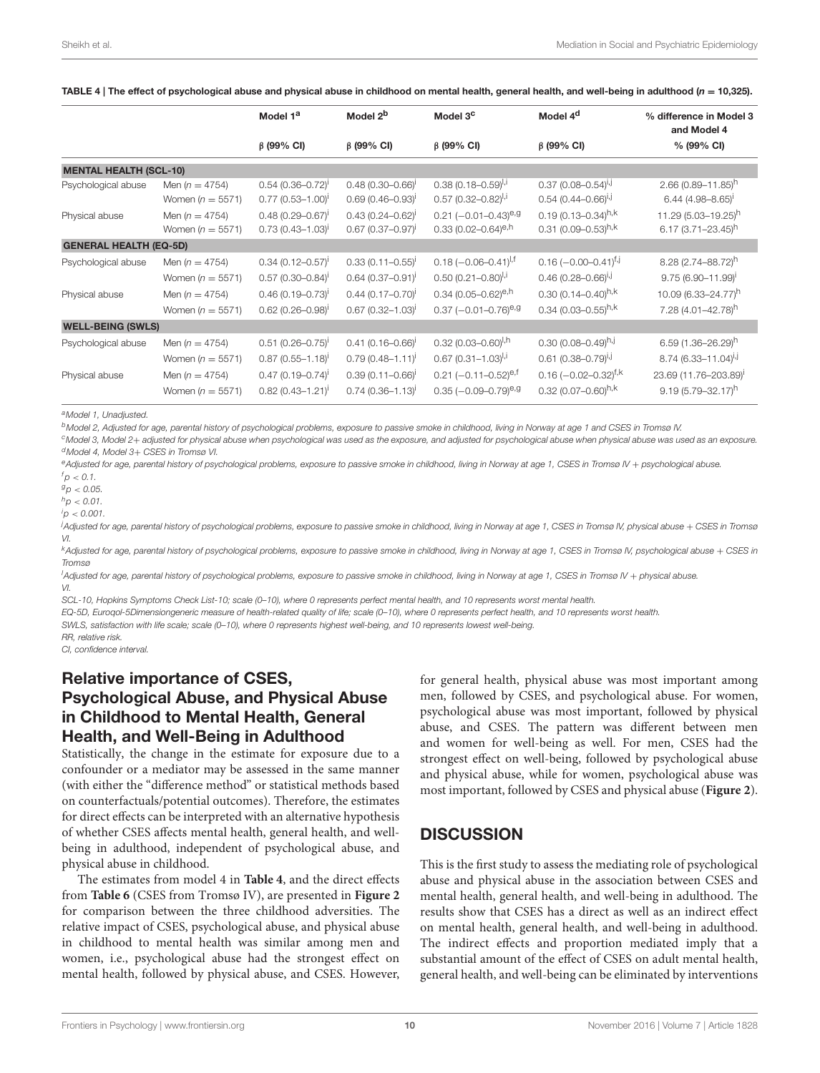<span id="page-9-0"></span>

| TABLE 4   The effect of psychological abuse and physical abuse in childhood on mental health, general health, and well-being in adulthood ( $n = 10,325$ ). |  |
|-------------------------------------------------------------------------------------------------------------------------------------------------------------|--|
|-------------------------------------------------------------------------------------------------------------------------------------------------------------|--|

|                                       |                                                                | Model 1 <sup>a</sup>                                                                             | Model 2 <sup>b</sup>                                                          | Model 3 <sup>c</sup>                                                                                         | Model 4 <sup>d</sup>                                                                                 | % difference in Model 3<br>and Model 4                                                            |
|---------------------------------------|----------------------------------------------------------------|--------------------------------------------------------------------------------------------------|-------------------------------------------------------------------------------|--------------------------------------------------------------------------------------------------------------|------------------------------------------------------------------------------------------------------|---------------------------------------------------------------------------------------------------|
|                                       |                                                                | $\beta$ (99% CI)                                                                                 | $\beta$ (99% CI)                                                              | $\beta$ (99% CI)                                                                                             | $\beta$ (99% CI)                                                                                     | % (99% CI)                                                                                        |
| <b>MENTAL HEALTH (SCL-10)</b>         |                                                                |                                                                                                  |                                                                               |                                                                                                              |                                                                                                      |                                                                                                   |
| Psychological abuse                   | Men ( $n = 4754$ )<br>Women ( $n = 5571$ )                     | $0.54$ (0.36-0.72) <sup>1</sup><br>$0.77$ (0.53-1.00) <sup>1</sup>                               | $0.48(0.30 - 0.66)^{t}$<br>$0.69(0.46 - 0.93)$                                | $0.38(0.18 - 0.59)^{1,1}$<br>$0.57$ (0.32-0.82) <sup>I,i</sup>                                               | $0.37(0.08 - 0.54)^{l}$<br>$0.54$ (0.44-0.66) <sup>1, J</sup>                                        | $2.66(0.89 - 11.85)^h$<br>$6.44(4.98 - 8.65)^{1}$                                                 |
| Physical abuse                        | Men ( $n = 4754$ )<br>Women ( $n = 5571$ )                     | $0.48(0.29 - 0.67)^{1}$<br>$0.73$ (0.43-1.03) <sup>1</sup>                                       | $0.43(0.24 - 0.62)^{1}$<br>$0.67$ (0.37-0.97) <sup>1</sup>                    | $0.21$ (-0.01-0.43) <sup>e,g</sup><br>$0.33(0.02 - 0.64)^{e, h}$                                             | $0.19(0.13 - 0.34)^{h,k}$<br>0.31 (0.09-0.53) <sup>h,k</sup>                                         | 11.29 (5.03-19.25) <sup>h</sup><br>$6.17(3.71 - 23.45)^h$                                         |
| <b>GENERAL HEALTH (EQ-5D)</b>         |                                                                |                                                                                                  |                                                                               |                                                                                                              |                                                                                                      |                                                                                                   |
| Psychological abuse                   | Men ( $n = 4754$ )<br>Women ( $n = 5571$ )                     | $0.34$ (0.12-0.57) <sup>1</sup><br>$0.57$ (0.30-0.84) <sup>i</sup>                               | $0.33(0.11 - 0.55)^{t}$<br>$0.64$ (0.37-0.91) <sup>1</sup>                    | $0.18$ (-0.06-0.41) <sup> ,f</sup><br>$0.50(0.21 - 0.80)^{l,i}$                                              | $0.16$ (-0.00-0.41) <sup>f,j</sup><br>$0.46(0.28 - 0.66)^{i,j}$                                      | 8.28 (2.74-88.72)h<br>$9.75(6.90 - 11.99)^{i}$                                                    |
| Physical abuse                        | Men ( $n = 4754$ )<br>Women ( $n = 5571$ )                     | $0.46(0.19 - 0.73)^{i}$<br>$0.62(0.26 - 0.98)^{i}$                                               | $0.44(0.17 - 0.70)$<br>$0.67$ (0.32-1.03) <sup>i</sup>                        | 0.34 (0.05-0.62) <sup>e,h</sup><br>$0.37$ (-0.01-0.76) <sup>e,g</sup>                                        | 0.30 $(0.14 - 0.40)^{h,k}$<br>0.34 (0.03-0.55) $h,k$                                                 | 10.09 (6.33-24.77) <sup>h</sup><br>7.28 (4.01-42.78) <sup>h</sup>                                 |
| <b>WELL-BEING (SWLS)</b>              |                                                                |                                                                                                  |                                                                               |                                                                                                              |                                                                                                      |                                                                                                   |
| Psychological abuse<br>Physical abuse | Men ( $n = 4754$ )<br>Women $(n = 5571)$<br>Men ( $n = 4754$ ) | $0.51$ (0.26-0.75) <sup>1</sup><br>$0.87$ $(0.55 - 1.18)^{1}$<br>$0.47$ (0.19-0.74) <sup>i</sup> | $0.41(0.16 - 0.66)^{t}$<br>$0.79(0.48 - 1.11)^{t}$<br>$0.39(0.11 - 0.66)^{i}$ | $0.32$ (0.03-0.60) <sup>I,h</sup><br>$0.67$ (0.31-1.03) <sup>I,i</sup><br>$0.21$ (-0.11-0.52) <sup>e,f</sup> | $0.30(0.08 - 0.49)^{h,j}$<br>$0.61$ (0.38-0.79) <sup>i,j</sup><br>$0.16$ (-0.02-0.32) <sup>f,k</sup> | $6.59(1.36 - 26.29)^h$<br>$8.74$ (6.33-11.04) <sup>i,j</sup><br>23.69 (11.76-203.89) <sup>i</sup> |
|                                       | Women $(n = 5571)$                                             | $0.82$ (0.43-1.21) <sup>1</sup>                                                                  | $0.74$ (0.36-1.13) <sup>1</sup>                                               | $0.35$ (-0.09-0.79) <sup>e,g</sup>                                                                           | 0.32 $(0.07 - 0.60)^{h,k}$                                                                           | $9.19(5.79 - 32.17)^h$                                                                            |

*<sup>a</sup>Model 1, Unadjusted.*

*<sup>b</sup>Model 2, Adjusted for age, parental history of psychological problems, exposure to passive smoke in childhood, living in Norway at age 1 and CSES in Tromsø IV.*

*<sup>c</sup>Model 3, Model 2*+ *adjusted for physical abuse when psychological was used as the exposure, and adjusted for psychological abuse when physical abuse was used as an exposure. <sup>d</sup>Model 4, Model 3*+ *CSES in Tromsø VI.*

*<sup>e</sup>Adjusted for age, parental history of psychological problems, exposure to passive smoke in childhood, living in Norway at age 1, CSES in Tromsø IV* + *psychological abuse.*  $f_{D}$  < 0.1.

*<sup>g</sup>p* < *0.05.*

 $h_p < 0.01$ .

 $i_{p}$   $\geq$  0.001

*<sup>j</sup>Adjusted for age, parental history of psychological problems, exposure to passive smoke in childhood, living in Norway at age 1, CSES in Tromsø IV, physical abuse* + *CSES in Tromsø VI.*

*<sup>k</sup>Adjusted for age, parental history of psychological problems, exposure to passive smoke in childhood, living in Norway at age 1, CSES in Tromsø IV, psychological abuse* + *CSES in Tromsø*

<sup>1</sup>Adjusted for age, parental history of psychological problems, exposure to passive smoke in childhood, living in Norway at age 1, CSES in Tromsø IV + physical abuse. *VI.*

*SCL-10, Hopkins Symptoms Check List-10; scale (0–10), where 0 represents perfect mental health, and 10 represents worst mental health.*

*EQ-5D, Euroqol-5Dimensiongeneric measure of health-related quality of life; scale (0–10), where 0 represents perfect health, and 10 represents worst health.*

*SWLS, satisfaction with life scale; scale (0–10), where 0 represents highest well-being, and 10 represents lowest well-being.*

*RR, relative risk.*

*CI, confidence interval.*

### Relative importance of CSES, Psychological Abuse, and Physical Abuse in Childhood to Mental Health, General Health, and Well-Being in Adulthood

Statistically, the change in the estimate for exposure due to a confounder or a mediator may be assessed in the same manner (with either the "difference method" or statistical methods based on counterfactuals/potential outcomes). Therefore, the estimates for direct effects can be interpreted with an alternative hypothesis of whether CSES affects mental health, general health, and wellbeing in adulthood, independent of psychological abuse, and physical abuse in childhood.

The estimates from model 4 in **[Table 4](#page-9-0)**, and the direct effects from **[Table 6](#page-11-0)** (CSES from Tromsø IV), are presented in **[Figure 2](#page-13-0)** for comparison between the three childhood adversities. The relative impact of CSES, psychological abuse, and physical abuse in childhood to mental health was similar among men and women, i.e., psychological abuse had the strongest effect on mental health, followed by physical abuse, and CSES. However, for general health, physical abuse was most important among men, followed by CSES, and psychological abuse. For women, psychological abuse was most important, followed by physical abuse, and CSES. The pattern was different between men and women for well-being as well. For men, CSES had the strongest effect on well-being, followed by psychological abuse and physical abuse, while for women, psychological abuse was most important, followed by CSES and physical abuse (**[Figure 2](#page-13-0)**).

### **DISCUSSION**

This is the first study to assess the mediating role of psychological abuse and physical abuse in the association between CSES and mental health, general health, and well-being in adulthood. The results show that CSES has a direct as well as an indirect effect on mental health, general health, and well-being in adulthood. The indirect effects and proportion mediated imply that a substantial amount of the effect of CSES on adult mental health, general health, and well-being can be eliminated by interventions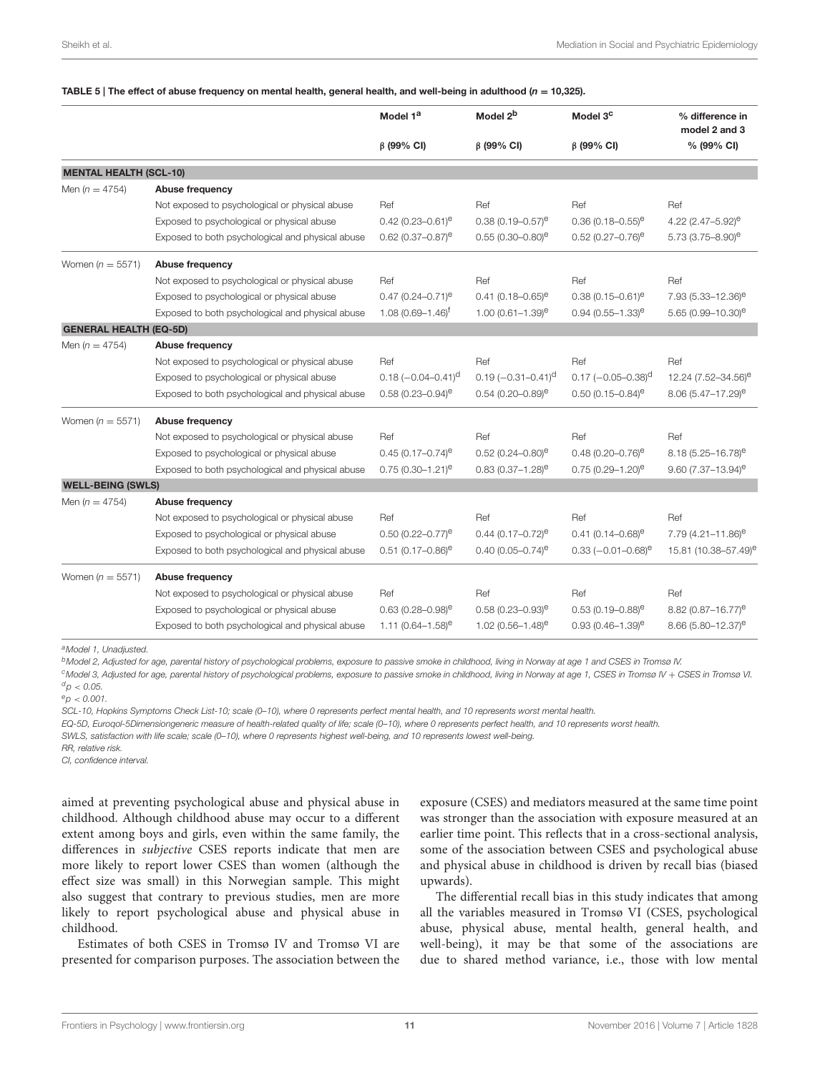#### <span id="page-10-0"></span>TABLE 5 | The effect of abuse frequency on mental health, general health, and well-being in adulthood ( $n = 10,325$ ).

|                               |                                                  | Model 1 <sup>a</sup>              | Model 2 <sup>b</sup>              | Model 3 <sup>c</sup>             | % difference in<br>model 2 and 3   |
|-------------------------------|--------------------------------------------------|-----------------------------------|-----------------------------------|----------------------------------|------------------------------------|
|                               |                                                  | $\beta$ (99% CI)                  | $\beta$ (99% CI)                  | $\beta$ (99% CI)                 | % (99% CI)                         |
| <b>MENTAL HEALTH (SCL-10)</b> |                                                  |                                   |                                   |                                  |                                    |
| Men ( $n = 4754$ )            | Abuse frequency                                  |                                   |                                   |                                  |                                    |
|                               | Not exposed to psychological or physical abuse   | Ref                               | Ref                               | Ref                              | Ref                                |
|                               | Exposed to psychological or physical abuse       | $0.42(0.23 - 0.61)^e$             | $0.38(0.19 - 0.57)^e$             | $0.36(0.18 - 0.55)^e$            | 4.22 $(2.47 - 5.92)^e$             |
|                               | Exposed to both psychological and physical abuse | $0.62$ (0.37-0.87) <sup>e</sup>   | $0.55(0.30 - 0.80)$ <sup>e</sup>  | $0.52$ (0.27-0.76) <sup>e</sup>  | 5.73 $(3.75 - 8.90)$ <sup>e</sup>  |
| Women ( $n = 5571$ )          | Abuse frequency                                  |                                   |                                   |                                  |                                    |
|                               | Not exposed to psychological or physical abuse   | Ref                               | Ref                               | Ref                              | Ref                                |
|                               | Exposed to psychological or physical abuse       | $0.47(0.24 - 0.71)^e$             | $0.41(0.18 - 0.65)^e$             | $0.38(0.15 - 0.61)^e$            | $7.93(5.33 - 12.36)^e$             |
|                               | Exposed to both psychological and physical abuse | $1.08(0.69 - 1.46)^f$             | $1.00(0.61 - 1.39)$ <sup>e</sup>  | $0.94(0.55 - 1.33)^e$            | 5.65 $(0.99 - 10.30)$ <sup>e</sup> |
| <b>GENERAL HEALTH (EQ-5D)</b> |                                                  |                                   |                                   |                                  |                                    |
| Men $(n = 4754)$              | Abuse frequency                                  |                                   |                                   |                                  |                                    |
|                               | Not exposed to psychological or physical abuse   | Ref                               | Ref                               | Ref                              | Ref                                |
|                               | Exposed to psychological or physical abuse       | $0.18 (-0.04 - 0.41)^d$           | $0.19(-0.31-0.41)^d$              | $0.17 (-0.05 - 0.38)^d$          | 12.24 (7.52-34.56) <sup>e</sup>    |
|                               | Exposed to both psychological and physical abuse | $0.58(0.23 - 0.94)$ <sup>e</sup>  | $0.54(0.20 - 0.89)^e$             | $0.50(0.15 - 0.84)$ <sup>e</sup> | $8.06(5.47 - 17.29)^e$             |
| Women $(n = 5571)$            | Abuse frequency                                  |                                   |                                   |                                  |                                    |
|                               | Not exposed to psychological or physical abuse   | Ref                               | Ref                               | Ref                              | Ref                                |
|                               | Exposed to psychological or physical abuse       | $0.45(0.17-0.74)$ <sup>e</sup>    | $0.52(0.24 - 0.80)$ <sup>e</sup>  | $0.48(0.20 - 0.76)^e$            | $8.18(5.25 - 16.78)^e$             |
|                               | Exposed to both psychological and physical abuse | $0.75(0.30 - 1.21)^e$             | $0.83(0.37 - 1.28)^e$             | $0.75(0.29 - 1.20)$ <sup>e</sup> | $9.60(7.37 - 13.94)$ <sup>e</sup>  |
| <b>WELL-BEING (SWLS)</b>      |                                                  |                                   |                                   |                                  |                                    |
| Men $(n = 4754)$              | Abuse frequency                                  |                                   |                                   |                                  |                                    |
|                               | Not exposed to psychological or physical abuse   | Ref                               | Ref                               | Ref                              | Ref                                |
|                               | Exposed to psychological or physical abuse       | $0.50(0.22 - 0.77)^e$             | $0.44(0.17-0.72)$ <sup>e</sup>    | $0.41(0.14 - 0.68)^e$            | $7.79(4.21 - 11.86)^e$             |
|                               | Exposed to both psychological and physical abuse | $0.51(0.17-0.86)$ <sup>e</sup>    | $0.40(0.05 - 0.74)$ <sup>e</sup>  | $0.33$ $(-0.01 - 0.68)^e$        | 15.81 (10.38-57.49) <sup>e</sup>   |
| Women ( $n = 5571$ )          | Abuse frequency                                  |                                   |                                   |                                  |                                    |
|                               | Not exposed to psychological or physical abuse   | Ref                               | Ref                               | Ref                              | Ref                                |
|                               | Exposed to psychological or physical abuse       | $0.63(0.28 - 0.98)^e$             | $0.58(0.23 - 0.93)^e$             | $0.53(0.19 - 0.88)^e$            | $8.82(0.87 - 16.77)^e$             |
|                               | Exposed to both psychological and physical abuse | 1.11 $(0.64 - 1.58)$ <sup>e</sup> | 1.02 $(0.56 - 1.48)$ <sup>e</sup> | $0.93(0.46 - 1.39)$ <sup>e</sup> | 8.66 (5.80-12.37) <sup>e</sup>     |

*<sup>a</sup>Model 1, Unadjusted.*

*<sup>b</sup>Model 2, Adjusted for age, parental history of psychological problems, exposure to passive smoke in childhood, living in Norway at age 1 and CSES in Tromsø IV.*

*<sup>c</sup>Model 3, Adjusted for age, parental history of psychological problems, exposure to passive smoke in childhood, living in Norway at age 1, CSES in Tromsø IV* + *CSES in Tromsø VI.*  $^{d}$ *p* < 0.05.

 $e_{D}$  < 0.001.

*SCL-10, Hopkins Symptoms Check List-10; scale (0–10), where 0 represents perfect mental health, and 10 represents worst mental health.*

*EQ-5D, Euroqol-5Dimensiongeneric measure of health-related quality of life; scale (0–10), where 0 represents perfect health, and 10 represents worst health.*

*SWLS, satisfaction with life scale; scale (0–10), where 0 represents highest well-being, and 10 represents lowest well-being.*

*RR, relative risk.*

*CI, confidence interval.*

aimed at preventing psychological abuse and physical abuse in childhood. Although childhood abuse may occur to a different extent among boys and girls, even within the same family, the differences in subjective CSES reports indicate that men are more likely to report lower CSES than women (although the effect size was small) in this Norwegian sample. This might also suggest that contrary to previous studies, men are more likely to report psychological abuse and physical abuse in childhood.

Estimates of both CSES in Tromsø IV and Tromsø VI are presented for comparison purposes. The association between the exposure (CSES) and mediators measured at the same time point was stronger than the association with exposure measured at an earlier time point. This reflects that in a cross-sectional analysis, some of the association between CSES and psychological abuse and physical abuse in childhood is driven by recall bias (biased upwards).

The differential recall bias in this study indicates that among all the variables measured in Tromsø VI (CSES, psychological abuse, physical abuse, mental health, general health, and well-being), it may be that some of the associations are due to shared method variance, i.e., those with low mental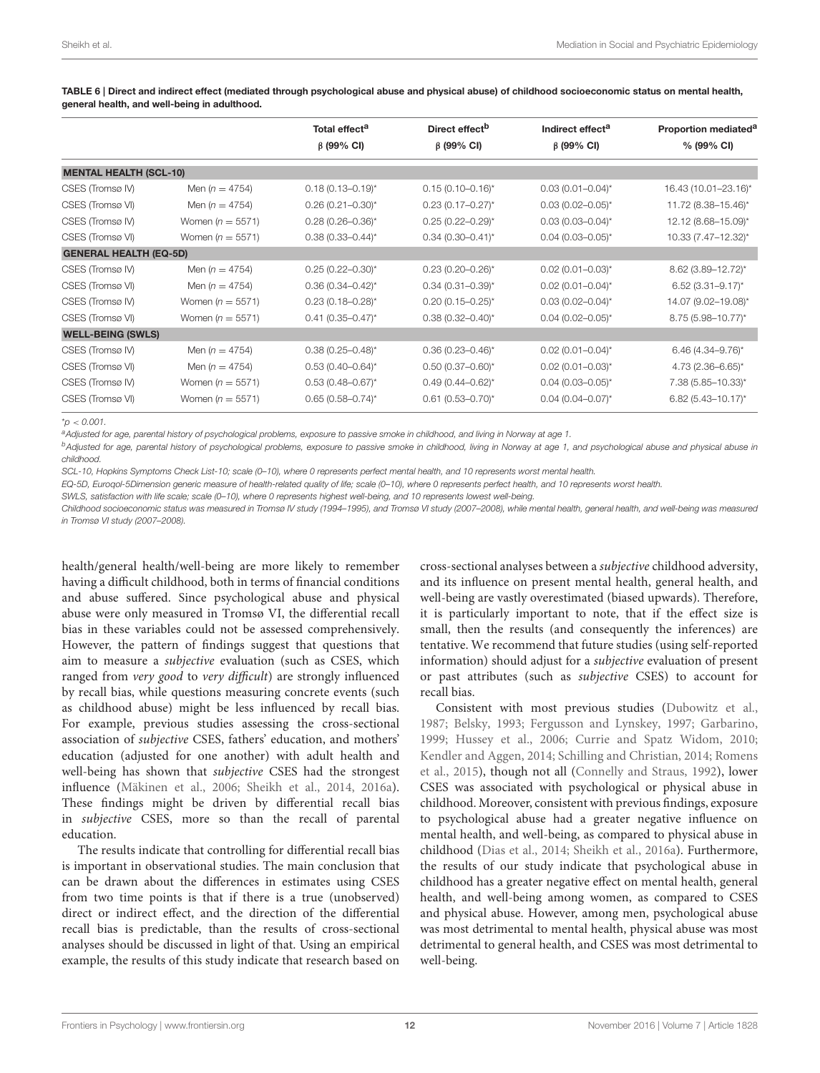|                               |                    | Total effect <sup>a</sup> | Direct effect <sup>b</sup> | Indirect effect <sup>a</sup> | Proportion mediated <sup>a</sup> |
|-------------------------------|--------------------|---------------------------|----------------------------|------------------------------|----------------------------------|
|                               |                    | $\beta$ (99% CI)          | $\beta$ (99% CI)           | $\beta$ (99% CI)             | % (99% CI)                       |
| <b>MENTAL HEALTH (SCL-10)</b> |                    |                           |                            |                              |                                  |
| CSES (Tromsø IV)              | Men $(n = 4754)$   | $0.18(0.13 - 0.19)^{*}$   | $0.15(0.10-0.16)^{*}$      | $0.03(0.01 - 0.04)^{*}$      | 16.43 (10.01-23.16)*             |
| CSES (Tromsø VI)              | Men $(n = 4754)$   | $0.26(0.21 - 0.30)^{*}$   | $0.23(0.17 - 0.27)^{*}$    | $0.03(0.02 - 0.05)^{*}$      | 11.72 (8.38-15.46)*              |
| CSES (Tromsø IV)              | Women $(n = 5571)$ | $0.28(0.26 - 0.36)^{*}$   | $0.25(0.22 - 0.29)^{*}$    | $0.03(0.03 - 0.04)^{*}$      | 12.12 (8.68-15.09)*              |
| CSES (Tromsø VI)              | Women $(n = 5571)$ | $0.38(0.33 - 0.44)^{*}$   | $0.34(0.30 - 0.41)^{*}$    | $0.04(0.03 - 0.05)^{*}$      | 10.33 (7.47-12.32)*              |
| <b>GENERAL HEALTH (EQ-5D)</b> |                    |                           |                            |                              |                                  |
| CSES (Tromsø IV)              | Men ( $n = 4754$ ) | $0.25(0.22 - 0.30)^{*}$   | $0.23(0.20 - 0.26)^{*}$    | $0.02(0.01 - 0.03)^{*}$      | 8.62 (3.89-12.72)*               |
| CSES (Tromsø VI)              | Men ( $n = 4754$ ) | $0.36(0.34 - 0.42)^{*}$   | $0.34$ (0.31-0.39)*        | $0.02$ (0.01-0.04)*          | $6.52$ (3.31-9.17)*              |
| CSES (Tromsø IV)              | Women $(n = 5571)$ | $0.23(0.18 - 0.28)^{*}$   | $0.20(0.15 - 0.25)^{*}$    | $0.03(0.02 - 0.04)^{*}$      | 14.07 (9.02-19.08)*              |
| CSES (Tromsø VI)              | Women $(n = 5571)$ | $0.41$ (0.35-0.47)*       | $0.38(0.32 - 0.40)^{*}$    | $0.04(0.02 - 0.05)^{*}$      | 8.75 (5.98-10.77)*               |
| <b>WELL-BEING (SWLS)</b>      |                    |                           |                            |                              |                                  |
| CSES (Tromsø IV)              | Men ( $n = 4754$ ) | $0.38(0.25 - 0.48)^{*}$   | $0.36(0.23 - 0.46)^{*}$    | $0.02$ (0.01-0.04)*          | $6.46$ (4.34-9.76)*              |
| CSES (Tromsø VI)              | Men ( $n = 4754$ ) | $0.53(0.40 - 0.64)^{*}$   | $0.50$ (0.37-0.60)*        | $0.02$ (0.01-0.03)*          | $4.73(2.36 - 6.65)^{*}$          |
| CSES (Tromsø IV)              | Women $(n = 5571)$ | $0.53(0.48 - 0.67)^{*}$   | $0.49(0.44 - 0.62)^{*}$    | $0.04$ (0.03-0.05)*          | 7.38 (5.85-10.33)*               |
| CSES (Tromsø VI)              | Women $(n = 5571)$ | $0.65(0.58 - 0.74)^{*}$   | $0.61$ (0.53-0.70)*        | $0.04(0.04 - 0.07)^{*}$      | 6.82 $(5.43 - 10.17)^{*}$        |

<span id="page-11-0"></span>TABLE 6 | Direct and indirect effect (mediated through psychological abuse and physical abuse) of childhood socioeconomic status on mental health, general health, and well-being in adulthood.

\**p* < *0.001.*

*<sup>a</sup>Adjusted for age, parental history of psychological problems, exposure to passive smoke in childhood, and living in Norway at age 1.*

*<sup>b</sup>Adjusted for age, parental history of psychological problems, exposure to passive smoke in childhood, living in Norway at age 1, and psychological abuse and physical abuse in childhood.*

*SCL-10, Hopkins Symptoms Check List-10; scale (0–10), where 0 represents perfect mental health, and 10 represents worst mental health.*

*EQ-5D, Euroqol-5Dimension generic measure of health-related quality of life; scale (0–10), where 0 represents perfect health, and 10 represents worst health.*

*SWLS, satisfaction with life scale; scale (0–10), where 0 represents highest well-being, and 10 represents lowest well-being.*

*Childhood socioeconomic status was measured in Tromsø IV study (1994–1995), and Tromsø VI study (2007–2008), while mental health, general health, and well-being was measured in Tromsø VI study (2007–2008).*

health/general health/well-being are more likely to remember having a difficult childhood, both in terms of financial conditions and abuse suffered. Since psychological abuse and physical abuse were only measured in Tromsø VI, the differential recall bias in these variables could not be assessed comprehensively. However, the pattern of findings suggest that questions that aim to measure a subjective evaluation (such as CSES, which ranged from very good to very difficult) are strongly influenced by recall bias, while questions measuring concrete events (such as childhood abuse) might be less influenced by recall bias. For example, previous studies assessing the cross-sectional association of subjective CSES, fathers' education, and mothers' education (adjusted for one another) with adult health and well-being has shown that subjective CSES had the strongest influence [\(Mäkinen et al., 2006;](#page-15-33) [Sheikh et al., 2014,](#page-15-12) [2016a\)](#page-15-8). These findings might be driven by differential recall bias in subjective CSES, more so than the recall of parental education.

The results indicate that controlling for differential recall bias is important in observational studies. The main conclusion that can be drawn about the differences in estimates using CSES from two time points is that if there is a true (unobserved) direct or indirect effect, and the direction of the differential recall bias is predictable, than the results of cross-sectional analyses should be discussed in light of that. Using an empirical example, the results of this study indicate that research based on cross-sectional analyses between a subjective childhood adversity, and its influence on present mental health, general health, and well-being are vastly overestimated (biased upwards). Therefore, it is particularly important to note, that if the effect size is small, then the results (and consequently the inferences) are tentative. We recommend that future studies (using self-reported information) should adjust for a subjective evaluation of present or past attributes (such as subjective CSES) to account for recall bias.

Consistent with most previous studies [\(Dubowitz et al.,](#page-14-6) [1987;](#page-14-6) [Belsky, 1993;](#page-14-7) [Fergusson and Lynskey, 1997;](#page-14-8) [Garbarino,](#page-14-9) [1999;](#page-14-9) [Hussey et al., 2006;](#page-15-5) [Currie and Spatz Widom, 2010;](#page-14-10) [Kendler and Aggen, 2014;](#page-15-34) [Schilling and Christian, 2014;](#page-15-6) Romens et al., [2015\)](#page-15-7), though not all [\(Connelly and Straus, 1992\)](#page-14-28), lower CSES was associated with psychological or physical abuse in childhood. Moreover, consistent with previous findings, exposure to psychological abuse had a greater negative influence on mental health, and well-being, as compared to physical abuse in childhood [\(Dias et al., 2014;](#page-14-12) [Sheikh et al., 2016a\)](#page-15-8). Furthermore, the results of our study indicate that psychological abuse in childhood has a greater negative effect on mental health, general health, and well-being among women, as compared to CSES and physical abuse. However, among men, psychological abuse was most detrimental to mental health, physical abuse was most detrimental to general health, and CSES was most detrimental to well-being.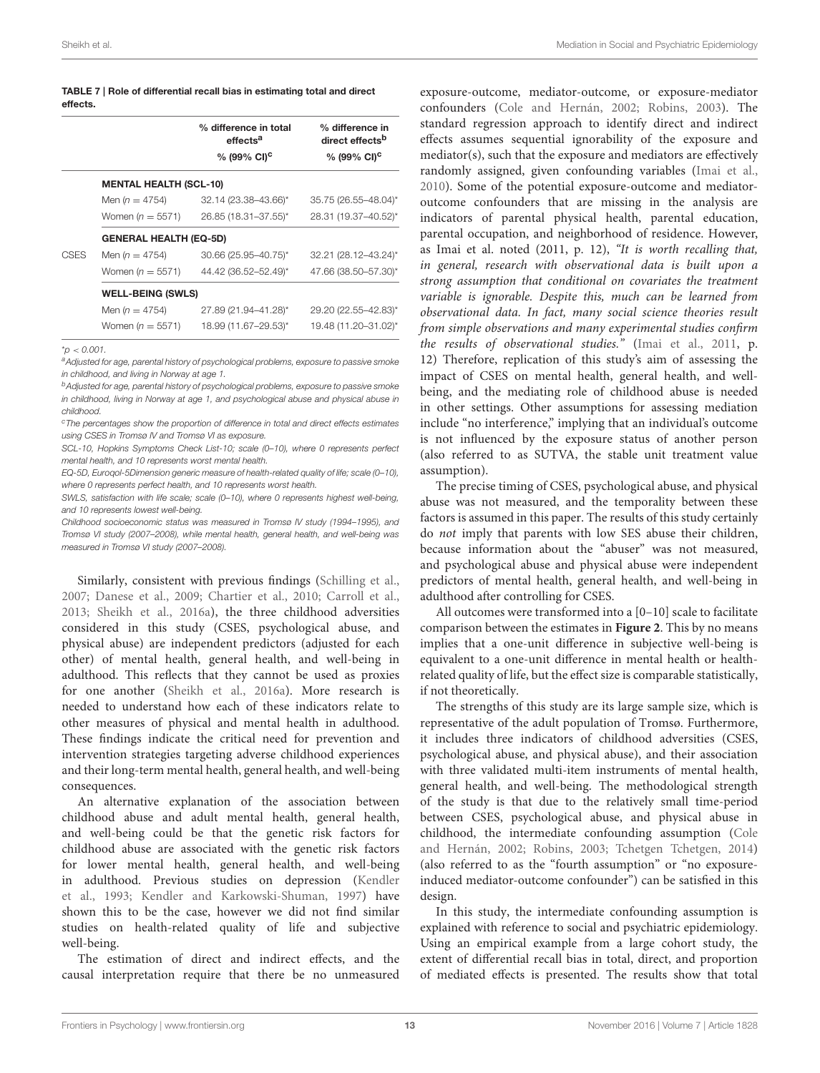<span id="page-12-0"></span>

| TABLE 7   Role of differential recall bias in estimating total and direct |  |
|---------------------------------------------------------------------------|--|
| effects.                                                                  |  |

|             |                               | % difference in total<br>effects <sup>a</sup><br>% (99% CI) <sup>c</sup> | % difference in<br>direct effects <sup>b</sup><br>% (99% CI) <sup>c</sup> |
|-------------|-------------------------------|--------------------------------------------------------------------------|---------------------------------------------------------------------------|
|             | <b>MENTAL HEALTH (SCL-10)</b> |                                                                          |                                                                           |
|             | Men $(n = 4754)$              | 32.14 (23.38-43.66)*                                                     | 35.75 (26.55-48.04)*                                                      |
|             | Women ( $n = 5571$ )          | 26.85 (18.31-37.55)*                                                     | 28.31 (19.37-40.52)*                                                      |
|             | <b>GENERAL HEALTH (EQ-5D)</b> |                                                                          |                                                                           |
| <b>CSES</b> | Men $(n = 4754)$              | 30.66 (25.95-40.75)*                                                     | 32.21 (28.12-43.24)*                                                      |
|             | Women ( $n = 5571$ )          | 44.42 (36.52-52.49)*                                                     | 47.66 (38.50-57.30)*                                                      |
|             | <b>WELL-BEING (SWLS)</b>      |                                                                          |                                                                           |
|             | Men $(n = 4754)$              | 27.89 (21.94-41.28)*                                                     | 29.20 (22.55-42.83)*                                                      |
|             | Women ( $n = 5571$ )          | 18.99 (11.67-29.53)*                                                     | 19.48 (11.20-31.02)*                                                      |
|             |                               |                                                                          |                                                                           |

\**p* < *0.001.*

*<sup>a</sup>Adjusted for age, parental history of psychological problems, exposure to passive smoke in childhood, and living in Norway at age 1.*

*<sup>b</sup>Adjusted for age, parental history of psychological problems, exposure to passive smoke in childhood, living in Norway at age 1, and psychological abuse and physical abuse in childhood.*

*<sup>c</sup>The percentages show the proportion of difference in total and direct effects estimates using CSES in Tromsø IV and Tromsø VI as exposure.*

*SCL-10, Hopkins Symptoms Check List-10; scale (0–10), where 0 represents perfect mental health, and 10 represents worst mental health.*

*EQ-5D, Euroqol-5Dimension generic measure of health-related quality of life; scale (0–10), where 0 represents perfect health, and 10 represents worst health.*

*SWLS, satisfaction with life scale; scale (0–10), where 0 represents highest well-being, and 10 represents lowest well-being.*

*Childhood socioeconomic status was measured in Tromsø IV study (1994–1995), and Tromsø VI study (2007–2008), while mental health, general health, and well-being was measured in Tromsø VI study (2007–2008).*

Similarly, consistent with previous findings [\(Schilling et al.,](#page-15-35) [2007;](#page-15-35) [Danese et al., 2009;](#page-14-29) [Chartier et al., 2010;](#page-14-30) [Carroll et al.,](#page-14-31) [2013;](#page-14-31) [Sheikh et al., 2016a\)](#page-15-8), the three childhood adversities considered in this study (CSES, psychological abuse, and physical abuse) are independent predictors (adjusted for each other) of mental health, general health, and well-being in adulthood. This reflects that they cannot be used as proxies for one another [\(Sheikh et al., 2016a\)](#page-15-8). More research is needed to understand how each of these indicators relate to other measures of physical and mental health in adulthood. These findings indicate the critical need for prevention and intervention strategies targeting adverse childhood experiences and their long-term mental health, general health, and well-being consequences.

An alternative explanation of the association between childhood abuse and adult mental health, general health, and well-being could be that the genetic risk factors for childhood abuse are associated with the genetic risk factors for lower mental health, general health, and well-being in adulthood. Previous studies on depression (Kendler et al., [1993;](#page-15-36) [Kendler and Karkowski-Shuman, 1997\)](#page-15-37) have shown this to be the case, however we did not find similar studies on health-related quality of life and subjective well-being.

The estimation of direct and indirect effects, and the causal interpretation require that there be no unmeasured

exposure-outcome, mediator-outcome, or exposure-mediator confounders [\(Cole and Hernán, 2002;](#page-14-18) [Robins, 2003\)](#page-15-19). The standard regression approach to identify direct and indirect effects assumes sequential ignorability of the exposure and mediator(s), such that the exposure and mediators are effectively randomly assigned, given confounding variables [\(Imai et al.,](#page-15-38) [2010\)](#page-15-38). Some of the potential exposure-outcome and mediatoroutcome confounders that are missing in the analysis are indicators of parental physical health, parental education, parental occupation, and neighborhood of residence. However, as Imai et al. noted (2011, p. 12), "It is worth recalling that, in general, research with observational data is built upon a strong assumption that conditional on covariates the treatment variable is ignorable. Despite this, much can be learned from observational data. In fact, many social science theories result from simple observations and many experimental studies confirm the results of observational studies." [\(Imai et al., 2011,](#page-15-39) p. 12) Therefore, replication of this study's aim of assessing the impact of CSES on mental health, general health, and wellbeing, and the mediating role of childhood abuse is needed in other settings. Other assumptions for assessing mediation include "no interference," implying that an individual's outcome is not influenced by the exposure status of another person (also referred to as SUTVA, the stable unit treatment value assumption).

The precise timing of CSES, psychological abuse, and physical abuse was not measured, and the temporality between these factors is assumed in this paper. The results of this study certainly do not imply that parents with low SES abuse their children, because information about the "abuser" was not measured, and psychological abuse and physical abuse were independent predictors of mental health, general health, and well-being in adulthood after controlling for CSES.

All outcomes were transformed into a [0–10] scale to facilitate comparison between the estimates in **[Figure 2](#page-13-0)**. This by no means implies that a one-unit difference in subjective well-being is equivalent to a one-unit difference in mental health or healthrelated quality of life, but the effect size is comparable statistically, if not theoretically.

The strengths of this study are its large sample size, which is representative of the adult population of Tromsø. Furthermore, it includes three indicators of childhood adversities (CSES, psychological abuse, and physical abuse), and their association with three validated multi-item instruments of mental health, general health, and well-being. The methodological strength of the study is that due to the relatively small time-period between CSES, psychological abuse, and physical abuse in childhood, the intermediate confounding assumption (Cole and Hernán, [2002;](#page-14-18) [Robins, 2003;](#page-15-19) [Tchetgen Tchetgen, 2014\)](#page-15-21) (also referred to as the "fourth assumption" or "no exposureinduced mediator-outcome confounder") can be satisfied in this design.

In this study, the intermediate confounding assumption is explained with reference to social and psychiatric epidemiology. Using an empirical example from a large cohort study, the extent of differential recall bias in total, direct, and proportion of mediated effects is presented. The results show that total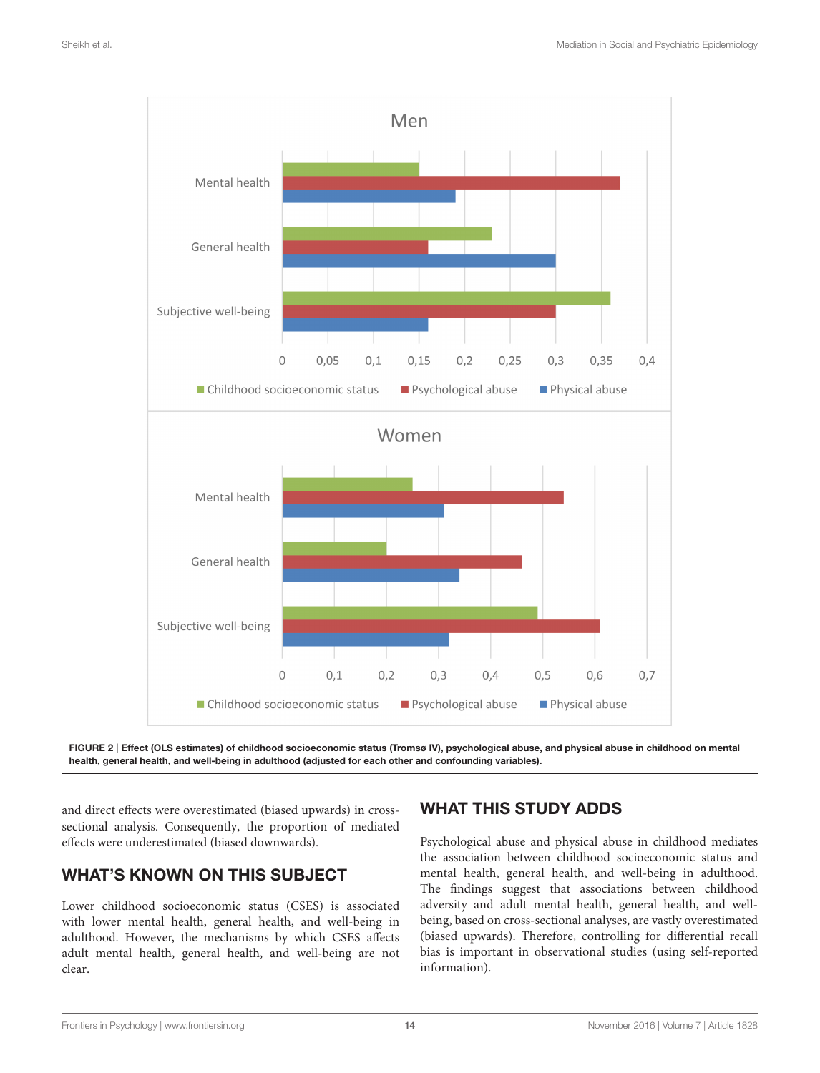

<span id="page-13-0"></span>health, general health, and well-being in adulthood (adjusted for each other and confounding variables).

and direct effects were overestimated (biased upwards) in crosssectional analysis. Consequently, the proportion of mediated effects were underestimated (biased downwards).

# WHAT'S KNOWN ON THIS SUBJECT

Lower childhood socioeconomic status (CSES) is associated with lower mental health, general health, and well-being in adulthood. However, the mechanisms by which CSES affects adult mental health, general health, and well-being are not clear.

# WHAT THIS STUDY ADDS

Psychological abuse and physical abuse in childhood mediates the association between childhood socioeconomic status and mental health, general health, and well-being in adulthood. The findings suggest that associations between childhood adversity and adult mental health, general health, and wellbeing, based on cross-sectional analyses, are vastly overestimated (biased upwards). Therefore, controlling for differential recall bias is important in observational studies (using self-reported information).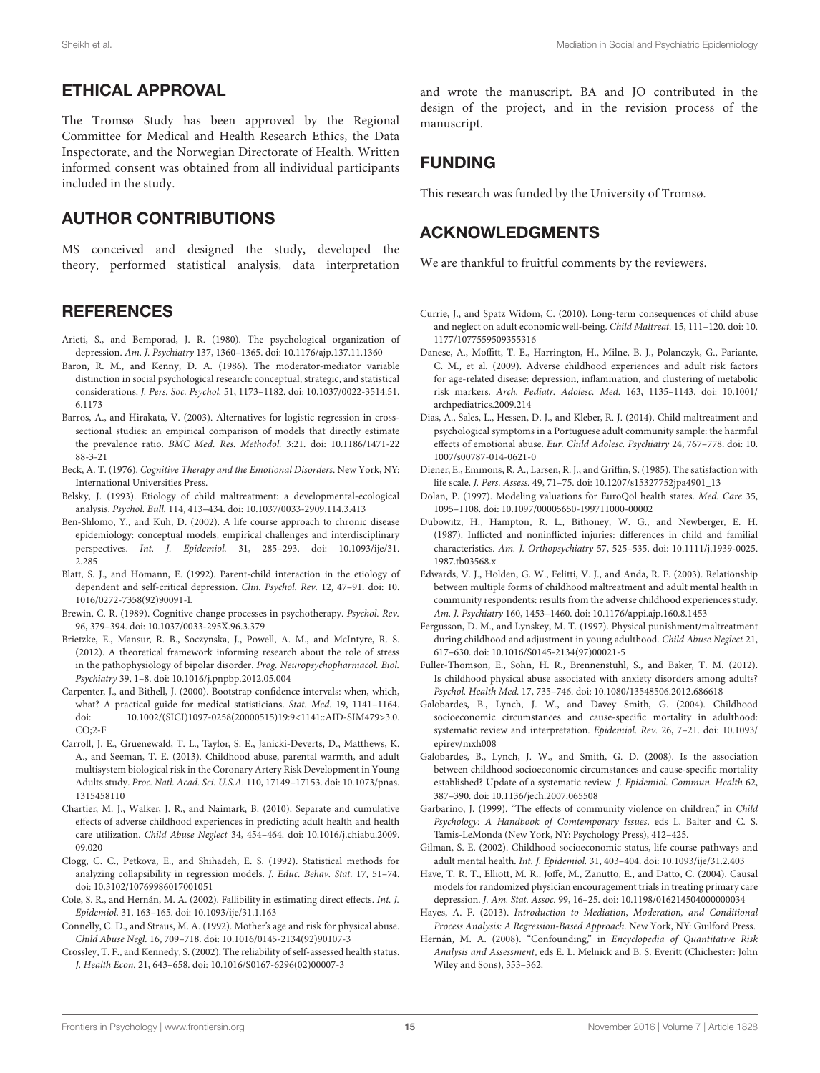### ETHICAL APPROVAL

The Tromsø Study has been approved by the Regional Committee for Medical and Health Research Ethics, the Data Inspectorate, and the Norwegian Directorate of Health. Written informed consent was obtained from all individual participants included in the study.

#### AUTHOR CONTRIBUTIONS

MS conceived and designed the study, developed the theory, performed statistical analysis, data interpretation

#### **REFERENCES**

- <span id="page-14-1"></span>Arieti, S., and Bemporad, J. R. (1980). The psychological organization of depression. Am. J. Psychiatry 137, 1360–1365. doi: [10.1176/ajp.137.11.1360](https://doi.org/10.1176/ajp.137.11.1360)
- <span id="page-14-25"></span>Baron, R. M., and Kenny, D. A. (1986). The moderator-mediator variable distinction in social psychological research: conceptual, strategic, and statistical considerations. J. Pers. Soc. Psychol. [51, 1173–1182. doi: 10.1037/0022-3514.51.](https://doi.org/10.1037/0022-3514.51.6.1173) 6.1173
- <span id="page-14-24"></span>Barros, A., and Hirakata, V. (2003). Alternatives for logistic regression in crosssectional studies: an empirical comparison of models that directly estimate the prevalence ratio. [BMC Med. Res. Methodol.](https://doi.org/10.1186/1471-2288-3-21) 3:21. doi: 10.1186/1471-22 88-3-21
- <span id="page-14-0"></span>Beck, A. T. (1976). Cognitive Therapy and the Emotional Disorders. New York, NY: International Universities Press.
- <span id="page-14-7"></span>Belsky, J. (1993). Etiology of child maltreatment: a developmental-ecological analysis. Psychol. Bull. 114, 413–434. doi: [10.1037/0033-2909.114.3.413](https://doi.org/10.1037/0033-2909.114.3.413)
- <span id="page-14-5"></span>Ben-Shlomo, Y., and Kuh, D. (2002). A life course approach to chronic disease epidemiology: conceptual models, empirical challenges and interdisciplinary perspectives. Int. J. Epidemiol. [31, 285–293. doi: 10.1093/ije/31.](https://doi.org/10.1093/ije/31.2.285) 2.285
- <span id="page-14-3"></span>Blatt, S. J., and Homann, E. (1992). Parent-child interaction in the etiology of [dependent and self-critical depression.](https://doi.org/10.1016/0272-7358(92)90091-L) Clin. Psychol. Rev. 12, 47–91. doi: 10. 1016/0272-7358(92)90091-L
- <span id="page-14-2"></span>Brewin, C. R. (1989). Cognitive change processes in psychotherapy. Psychol. Rev. 96, 379–394. doi: [10.1037/0033-295X.96.3.379](https://doi.org/10.1037/0033-295X.96.3.379)
- <span id="page-14-4"></span>Brietzke, E., Mansur, R. B., Soczynska, J., Powell, A. M., and McIntyre, R. S. (2012). A theoretical framework informing research about the role of stress in the pathophysiology of bipolar disorder. Prog. Neuropsychopharmacol. Biol. Psychiatry 39, 1–8. doi: [10.1016/j.pnpbp.2012.05.004](https://doi.org/10.1016/j.pnpbp.2012.05.004)
- <span id="page-14-23"></span>Carpenter, J., and Bithell, J. (2000). Bootstrap confidence intervals: when, which, what? A practical guide for medical statisticians. Stat. Med. 19, 1141–1164. [doi: 10.1002/\(SICI\)1097-0258\(20000515\)19:9<1141::AID-SIM479>3.0.](https://doi.org/10.1002/(SICI)1097-0258(20000515)19:9<1141::AID-SIM479>3.0.CO;2-F)  $CO<sub>2-F</sub>$
- <span id="page-14-31"></span>Carroll, J. E., Gruenewald, T. L., Taylor, S. E., Janicki-Deverts, D., Matthews, K. A., and Seeman, T. E. (2013). Childhood abuse, parental warmth, and adult multisystem biological risk in the Coronary Artery Risk Development in Young Adults study. Proc. Natl. Acad. Sci. U.S.A. [110, 17149–17153. doi: 10.1073/pnas.](https://doi.org/10.1073/pnas.1315458110) 1315458110
- <span id="page-14-30"></span>Chartier, M. J., Walker, J. R., and Naimark, B. (2010). Separate and cumulative effects of adverse childhood experiences in predicting adult health and health care utilization. Child Abuse Neglect [34, 454–464. doi: 10.1016/j.chiabu.2009.](https://doi.org/10.1016/j.chiabu.2009.09.020) 09.020
- <span id="page-14-26"></span>Clogg, C. C., Petkova, E., and Shihadeh, E. S. (1992). Statistical methods for analyzing collapsibility in regression models. J. Educ. Behav. Stat. 17, 51–74. doi: [10.3102/10769986017001051](https://doi.org/10.3102/10769986017001051)
- <span id="page-14-18"></span>Cole, S. R., and Hernán, M. A. (2002). Fallibility in estimating direct effects. Int. J. Epidemiol. 31, 163–165. doi: [10.1093/ije/31.1.163](https://doi.org/10.1093/ije/31.1.163)
- <span id="page-14-28"></span>Connelly, C. D., and Straus, M. A. (1992). Mother's age and risk for physical abuse. Child Abuse Negl. 16, 709–718. doi: [10.1016/0145-2134\(92\)90107-3](https://doi.org/10.1016/0145-2134(92)90107-3)
- <span id="page-14-14"></span>Crossley, T. F., and Kennedy, S. (2002). The reliability of self-assessed health status. J. Health Econ. 21, 643–658. doi: [10.1016/S0167-6296\(02\)00007-3](https://doi.org/10.1016/S0167-6296(02)00007-3)

and wrote the manuscript. BA and JO contributed in the design of the project, and in the revision process of the manuscript.

## FUNDING

This research was funded by the University of Tromsø.

### ACKNOWLEDGMENTS

We are thankful to fruitful comments by the reviewers.

- <span id="page-14-10"></span>Currie, J., and Spatz Widom, C. (2010). Long-term consequences of child abuse [and neglect on adult economic well-being.](https://doi.org/10.1177/1077559509355316) Child Maltreat. 15, 111–120. doi: 10. 1177/1077559509355316
- <span id="page-14-29"></span>Danese, A., Moffitt, T. E., Harrington, H., Milne, B. J., Polanczyk, G., Pariante, C. M., et al. (2009). Adverse childhood experiences and adult risk factors for age-related disease: depression, inflammation, and clustering of metabolic risk markers. Arch. Pediatr. Adolesc. Med. [163, 1135–1143. doi: 10.1001/](https://doi.org/10.1001/archpediatrics.2009.214) archpediatrics.2009.214
- <span id="page-14-12"></span>Dias, A., Sales, L., Hessen, D. J., and Kleber, R. J. (2014). Child maltreatment and psychological symptoms in a Portuguese adult community sample: the harmful effects of emotional abuse. [Eur. Child Adolesc. Psychiatry](https://doi.org/10.1007/s00787-014-0621-0) 24, 767–778. doi: 10. 1007/s00787-014-0621-0
- <span id="page-14-22"></span>Diener, E., Emmons, R. A., Larsen, R. J., and Griffin, S. (1985). The satisfaction with life scale. J. Pers. Assess. 49, 71–75. doi: [10.1207/s15327752jpa4901\\_](https://doi.org/10.1207/s15327752jpa4901)13
- <span id="page-14-21"></span>Dolan, P. (1997). Modeling valuations for EuroQol health states. Med. Care 35, 1095–1108. doi: [10.1097/00005650-199711000-00002](https://doi.org/10.1097/00005650-199711000-00002)
- <span id="page-14-6"></span>Dubowitz, H., Hampton, R. L., Bithoney, W. G., and Newberger, E. H. (1987). Inflicted and noninflicted injuries: differences in child and familial characteristics. Am. J. Orthopsychiatry [57, 525–535. doi: 10.1111/j.1939-0025.](https://doi.org/10.1111/j.1939-0025.1987.tb03568.x) 1987.tb03568.x
- <span id="page-14-13"></span>Edwards, V. J., Holden, G. W., Felitti, V. J., and Anda, R. F. (2003). Relationship between multiple forms of childhood maltreatment and adult mental health in community respondents: results from the adverse childhood experiences study. Am. J. Psychiatry 160, 1453–1460. doi: [10.1176/appi.ajp.160.8.1453](https://doi.org/10.1176/appi.ajp.160.8.1453)
- <span id="page-14-8"></span>Fergusson, D. M., and Lynskey, M. T. (1997). Physical punishment/maltreatment during childhood and adjustment in young adulthood. Child Abuse Neglect 21, 617–630. doi: [10.1016/S0145-2134\(97\)00021-5](https://doi.org/10.1016/S0145-2134(97)00021-5)
- <span id="page-14-11"></span>Fuller-Thomson, E., Sohn, H. R., Brennenstuhl, S., and Baker, T. M. (2012). Is childhood physical abuse associated with anxiety disorders among adults? Psychol. Health Med. 17, 735–746. doi: [10.1080/13548506.2012.686618](https://doi.org/10.1080/13548506.2012.686618)
- <span id="page-14-16"></span>Galobardes, B., Lynch, J. W., and Davey Smith, G. (2004). Childhood socioeconomic circumstances and cause-specific mortality in adulthood: [systematic review and interpretation.](https://doi.org/10.1093/epirev/mxh008) Epidemiol. Rev. 26, 7–21. doi: 10.1093/ epirev/mxh008
- <span id="page-14-17"></span>Galobardes, B., Lynch, J. W., and Smith, G. D. (2008). Is the association between childhood socioeconomic circumstances and cause-specific mortality established? Update of a systematic review. J. Epidemiol. Commun. Health 62, 387–390. doi: [10.1136/jech.2007.065508](https://doi.org/10.1136/jech.2007.065508)
- <span id="page-14-9"></span>Garbarino, J. (1999). "The effects of community violence on children," in Child Psychology: A Handbook of Comtemporary Issues, eds L. Balter and C. S. Tamis-LeMonda (New York, NY: Psychology Press), 412–425.
- <span id="page-14-15"></span>Gilman, S. E. (2002). Childhood socioeconomic status, life course pathways and adult mental health. Int. J. Epidemiol. 31, 403–404. doi: [10.1093/ije/31.2.403](https://doi.org/10.1093/ije/31.2.403)
- <span id="page-14-27"></span>Have, T. R. T., Elliott, M. R., Joffe, M., Zanutto, E., and Datto, C. (2004). Causal models for randomized physician encouragement trials in treating primary care depression. J. Am. Stat. Assoc. 99, 16–25. doi: [10.1198/016214504000000034](https://doi.org/10.1198/016214504000000034)
- <span id="page-14-20"></span>Hayes, A. F. (2013). Introduction to Mediation, Moderation, and Conditional Process Analysis: A Regression-Based Approach. New York, NY: Guilford Press.
- <span id="page-14-19"></span>Hernán, M. A. (2008). "Confounding," in Encyclopedia of Quantitative Risk Analysis and Assessment, eds E. L. Melnick and B. S. Everitt (Chichester: John Wiley and Sons), 353–362.